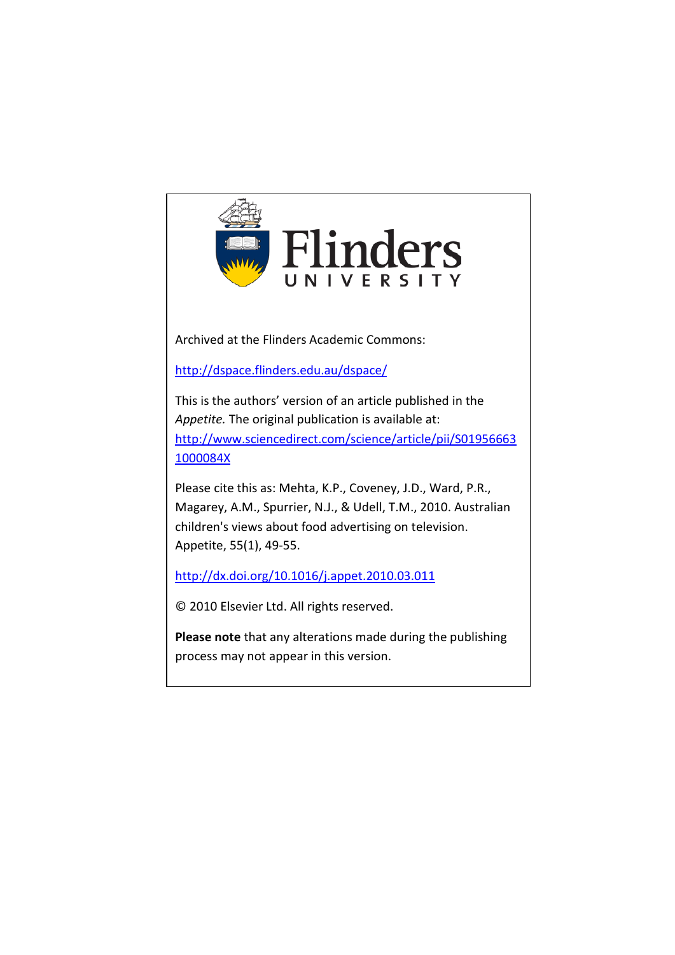

Archived at the Flinders Academic Commons:

<http://dspace.flinders.edu.au/dspace/>

This is the authors' version of an article published in the *Appetite.* The original publication is available at: [http://www.sciencedirect.com/science/article/pii/S01956663](http://www.sciencedirect.com/science/article/pii/S019566631000084X) [1000084X](http://www.sciencedirect.com/science/article/pii/S019566631000084X)

Please cite this as: Mehta, K.P., Coveney, J.D., Ward, P.R., Magarey, A.M., Spurrier, N.J., & Udell, T.M., 2010. Australian children's views about food advertising on television. Appetite, 55(1), 49-55.

<http://dx.doi.org/10.1016/j.appet.2010.03.011>

© 2010 Elsevier Ltd. All rights reserved.

**Please note** that any alterations made during the publishing process may not appear in this version.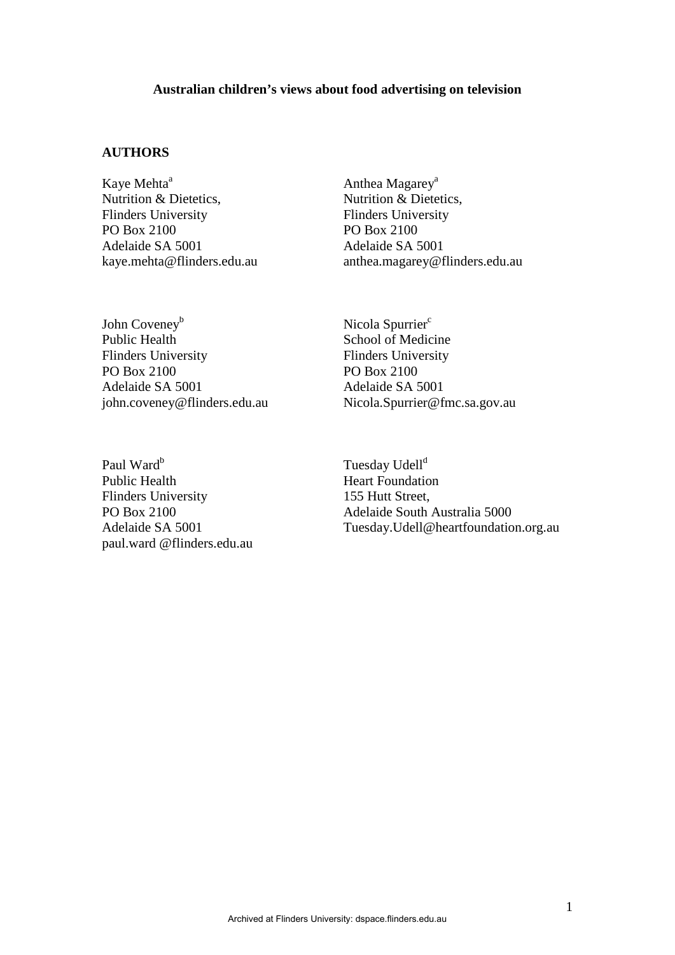#### **Australian children's views about food advertising on television**

# **AUTHORS**

Kaye Mehta<sup>a</sup> Nutrition & Dietetics, Flinders University PO Box 2100 Adelaide SA 5001 kaye.mehta@flinders.edu.au Anthea Magarey<sup>a</sup> Nutrition & Dietetics, Flinders University PO Box 2100 Adelaide SA 5001 anthea.magarey@flinders.edu.au

John Coveney<sup>b</sup> Public Health Flinders University PO Box 2100 Adelaide SA 5001 john.coveney@flinders.edu.au

Paul Ward<sup>b</sup> Public Health Flinders University PO Box 2100 Adelaide SA 5001 paul.ward @flinders.edu.au Nicola Spurrier<sup>c</sup> School of Medicine Flinders University PO Box 2100 Adelaide SA 5001 Nicola.Spurrier@fmc.sa.gov.au

Tuesday Udell<sup>d</sup> Heart Foundation 155 Hutt Street, Adelaide South Australia 5000 Tuesday.Udell@heartfoundation.org.au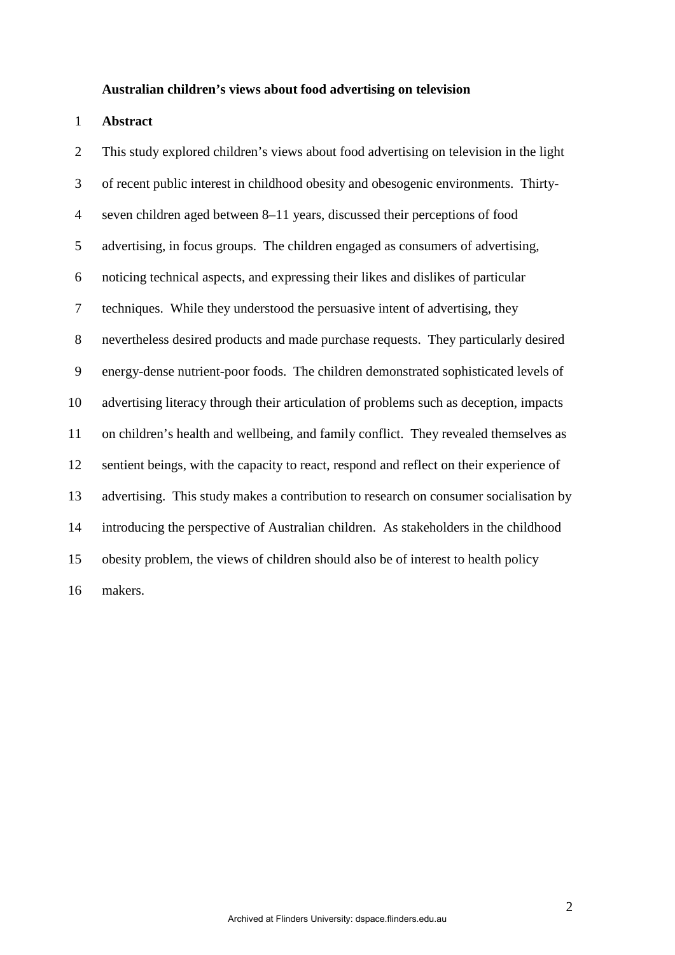#### **Australian children's views about food advertising on television**

1 **Abstract**

2 This study explored children's views about food advertising on television in the light 3 of recent public interest in childhood obesity and obesogenic environments. Thirty-4 seven children aged between 8–11 years, discussed their perceptions of food 5 advertising, in focus groups. The children engaged as consumers of advertising, 6 noticing technical aspects, and expressing their likes and dislikes of particular 7 techniques. While they understood the persuasive intent of advertising, they 8 nevertheless desired products and made purchase requests. They particularly desired 9 energy-dense nutrient-poor foods. The children demonstrated sophisticated levels of 10 advertising literacy through their articulation of problems such as deception, impacts 11 on children's health and wellbeing, and family conflict. They revealed themselves as 12 sentient beings, with the capacity to react, respond and reflect on their experience of 13 advertising. This study makes a contribution to research on consumer socialisation by 14 introducing the perspective of Australian children. As stakeholders in the childhood 15 obesity problem, the views of children should also be of interest to health policy 16 makers.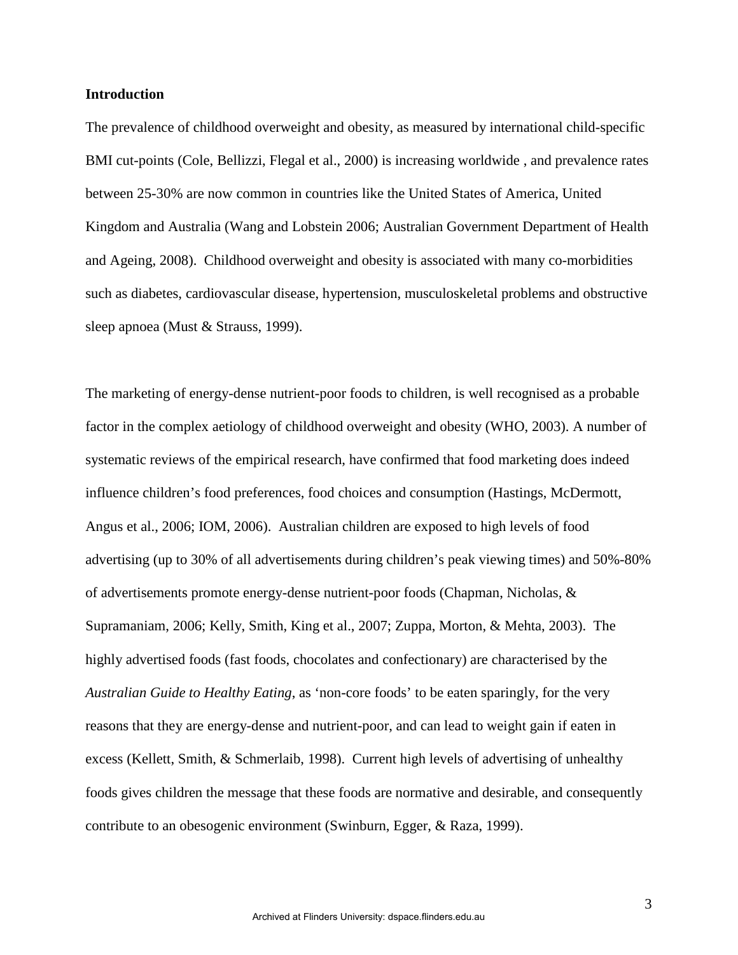## **Introduction**

The prevalence of childhood overweight and obesity, as measured by international child-specific BMI cut-points (Cole, Bellizzi, Flegal et al., 2000) is increasing worldwide , and prevalence rates between 25-30% are now common in countries like the United States of America, United Kingdom and Australia (Wang and Lobstein 2006; Australian Government Department of Health and Ageing, 2008). Childhood overweight and obesity is associated with many co-morbidities such as diabetes, cardiovascular disease, hypertension, musculoskeletal problems and obstructive sleep apnoea (Must & Strauss, 1999).

The marketing of energy-dense nutrient-poor foods to children, is well recognised as a probable factor in the complex aetiology of childhood overweight and obesity (WHO, 2003). A number of systematic reviews of the empirical research, have confirmed that food marketing does indeed influence children's food preferences, food choices and consumption (Hastings, McDermott, Angus et al., 2006; IOM, 2006). Australian children are exposed to high levels of food advertising (up to 30% of all advertisements during children's peak viewing times) and 50%-80% of advertisements promote energy-dense nutrient-poor foods (Chapman, Nicholas, & Supramaniam, 2006; Kelly, Smith, King et al., 2007; Zuppa, Morton, & Mehta, 2003). The highly advertised foods (fast foods, chocolates and confectionary) are characterised by the *Australian Guide to Healthy Eating*, as 'non-core foods' to be eaten sparingly, for the very reasons that they are energy-dense and nutrient-poor, and can lead to weight gain if eaten in excess (Kellett, Smith, & Schmerlaib, 1998). Current high levels of advertising of unhealthy foods gives children the message that these foods are normative and desirable, and consequently contribute to an obesogenic environment (Swinburn, Egger, & Raza, 1999).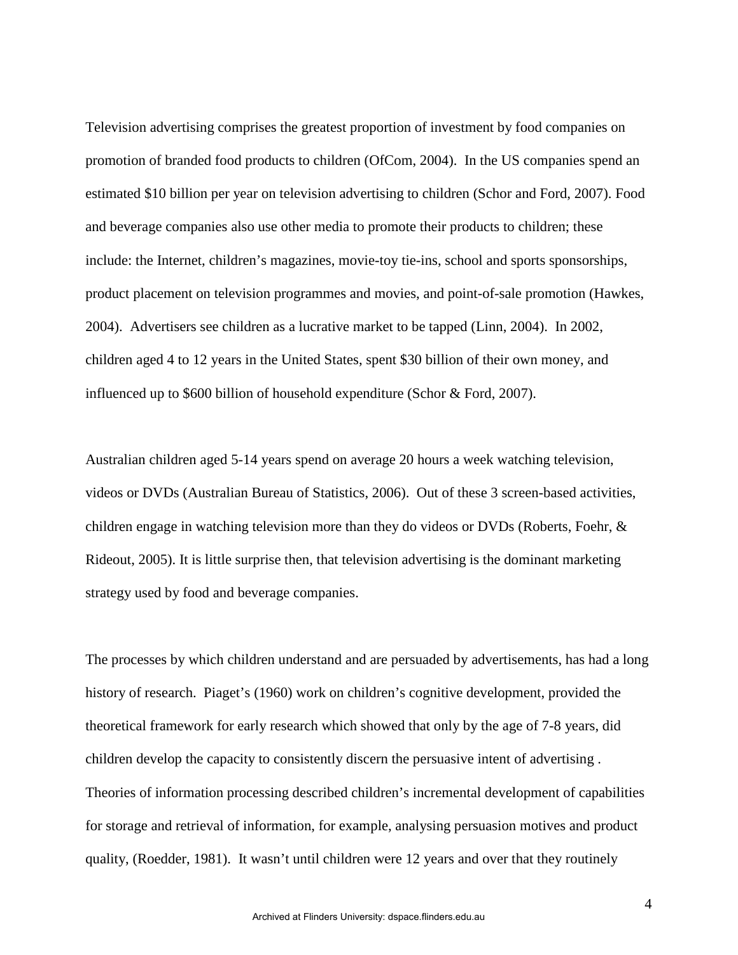Television advertising comprises the greatest proportion of investment by food companies on promotion of branded food products to children (OfCom, 2004). In the US companies spend an estimated \$10 billion per year on television advertising to children (Schor and Ford, 2007). Food and beverage companies also use other media to promote their products to children; these include: the Internet, children's magazines, movie-toy tie-ins, school and sports sponsorships, product placement on television programmes and movies, and point-of-sale promotion (Hawkes, 2004). Advertisers see children as a lucrative market to be tapped (Linn, 2004). In 2002, children aged 4 to 12 years in the United States, spent \$30 billion of their own money, and influenced up to \$600 billion of household expenditure (Schor & Ford, 2007).

Australian children aged 5-14 years spend on average 20 hours a week watching television, videos or DVDs (Australian Bureau of Statistics, 2006). Out of these 3 screen-based activities, children engage in watching television more than they do videos or DVDs (Roberts, Foehr, & Rideout, 2005). It is little surprise then, that television advertising is the dominant marketing strategy used by food and beverage companies.

The processes by which children understand and are persuaded by advertisements, has had a long history of research. Piaget's (1960) work on children's cognitive development, provided the theoretical framework for early research which showed that only by the age of 7-8 years, did children develop the capacity to consistently discern the persuasive intent of advertising . Theories of information processing described children's incremental development of capabilities for storage and retrieval of information, for example, analysing persuasion motives and product quality, (Roedder, 1981). It wasn't until children were 12 years and over that they routinely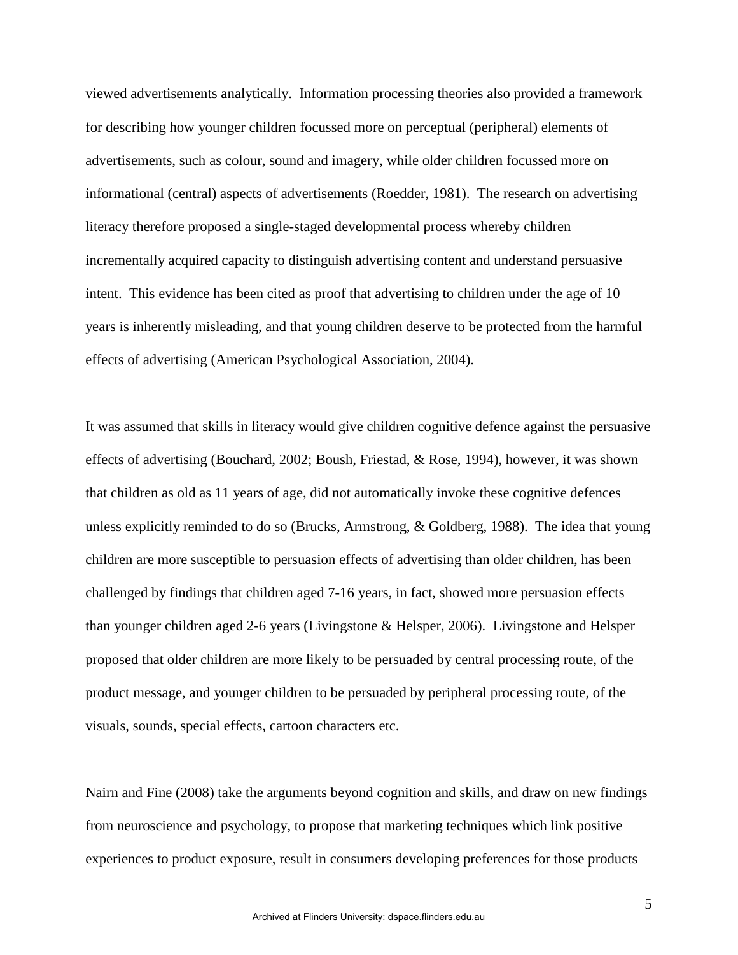viewed advertisements analytically. Information processing theories also provided a framework for describing how younger children focussed more on perceptual (peripheral) elements of advertisements, such as colour, sound and imagery, while older children focussed more on informational (central) aspects of advertisements (Roedder, 1981). The research on advertising literacy therefore proposed a single-staged developmental process whereby children incrementally acquired capacity to distinguish advertising content and understand persuasive intent. This evidence has been cited as proof that advertising to children under the age of 10 years is inherently misleading, and that young children deserve to be protected from the harmful effects of advertising (American Psychological Association, 2004).

It was assumed that skills in literacy would give children cognitive defence against the persuasive effects of advertising (Bouchard, 2002; Boush, Friestad, & Rose, 1994), however, it was shown that children as old as 11 years of age, did not automatically invoke these cognitive defences unless explicitly reminded to do so (Brucks, Armstrong, & Goldberg, 1988). The idea that young children are more susceptible to persuasion effects of advertising than older children, has been challenged by findings that children aged 7-16 years, in fact, showed more persuasion effects than younger children aged 2-6 years (Livingstone & Helsper, 2006). Livingstone and Helsper proposed that older children are more likely to be persuaded by central processing route, of the product message, and younger children to be persuaded by peripheral processing route, of the visuals, sounds, special effects, cartoon characters etc.

Nairn and Fine (2008) take the arguments beyond cognition and skills, and draw on new findings from neuroscience and psychology, to propose that marketing techniques which link positive experiences to product exposure, result in consumers developing preferences for those products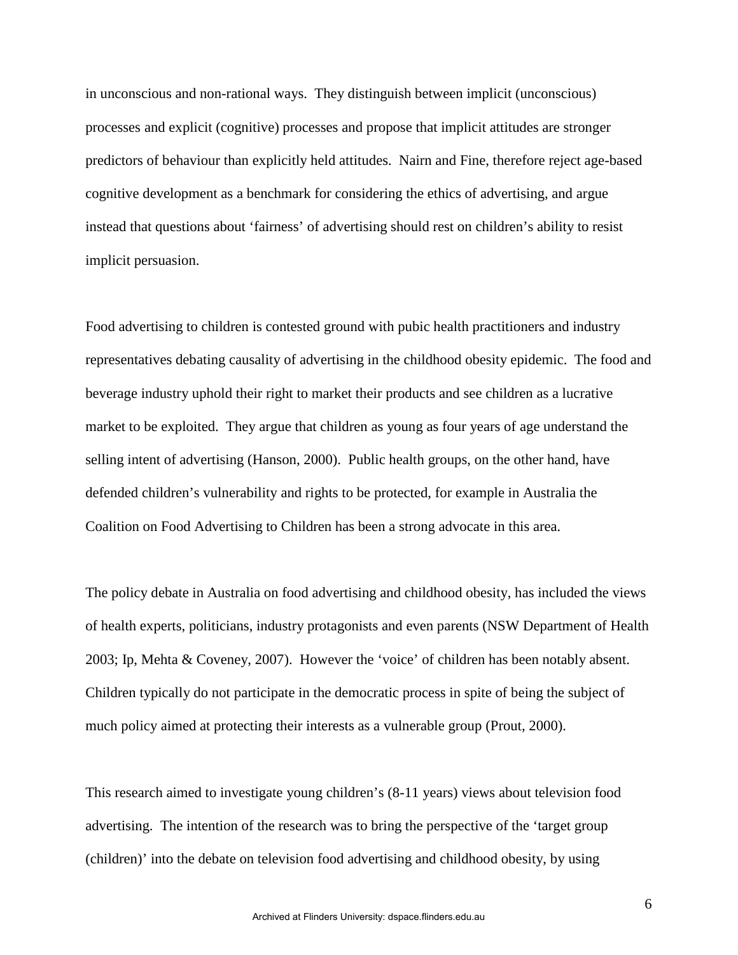in unconscious and non-rational ways. They distinguish between implicit (unconscious) processes and explicit (cognitive) processes and propose that implicit attitudes are stronger predictors of behaviour than explicitly held attitudes. Nairn and Fine, therefore reject age-based cognitive development as a benchmark for considering the ethics of advertising, and argue instead that questions about 'fairness' of advertising should rest on children's ability to resist implicit persuasion.

Food advertising to children is contested ground with pubic health practitioners and industry representatives debating causality of advertising in the childhood obesity epidemic. The food and beverage industry uphold their right to market their products and see children as a lucrative market to be exploited. They argue that children as young as four years of age understand the selling intent of advertising (Hanson, 2000). Public health groups, on the other hand, have defended children's vulnerability and rights to be protected, for example in Australia the Coalition on Food Advertising to Children has been a strong advocate in this area.

The policy debate in Australia on food advertising and childhood obesity, has included the views of health experts, politicians, industry protagonists and even parents (NSW Department of Health 2003; Ip, Mehta & Coveney, 2007). However the 'voice' of children has been notably absent. Children typically do not participate in the democratic process in spite of being the subject of much policy aimed at protecting their interests as a vulnerable group (Prout, 2000).

This research aimed to investigate young children's (8-11 years) views about television food advertising. The intention of the research was to bring the perspective of the 'target group (children)' into the debate on television food advertising and childhood obesity, by using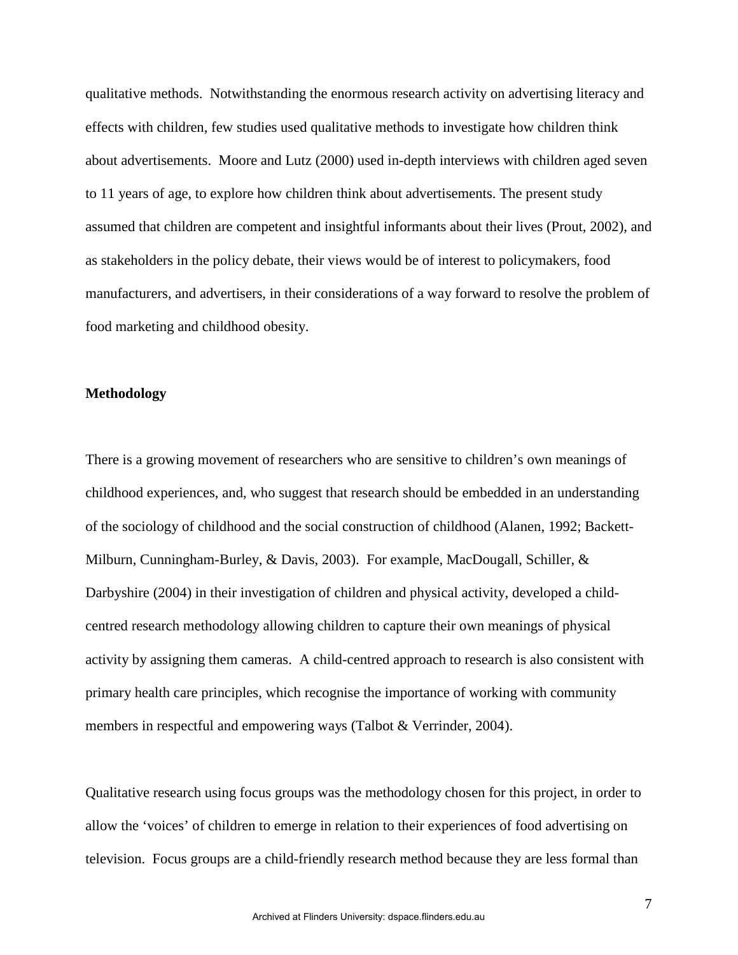qualitative methods. Notwithstanding the enormous research activity on advertising literacy and effects with children, few studies used qualitative methods to investigate how children think about advertisements. Moore and Lutz (2000) used in-depth interviews with children aged seven to 11 years of age, to explore how children think about advertisements. The present study assumed that children are competent and insightful informants about their lives (Prout, 2002), and as stakeholders in the policy debate, their views would be of interest to policymakers, food manufacturers, and advertisers, in their considerations of a way forward to resolve the problem of food marketing and childhood obesity.

## **Methodology**

There is a growing movement of researchers who are sensitive to children's own meanings of childhood experiences, and, who suggest that research should be embedded in an understanding of the sociology of childhood and the social construction of childhood (Alanen, 1992; Backett-Milburn, Cunningham-Burley, & Davis, 2003). For example, MacDougall, Schiller, & Darbyshire (2004) in their investigation of children and physical activity, developed a childcentred research methodology allowing children to capture their own meanings of physical activity by assigning them cameras. A child-centred approach to research is also consistent with primary health care principles, which recognise the importance of working with community members in respectful and empowering ways (Talbot & Verrinder, 2004).

Qualitative research using focus groups was the methodology chosen for this project, in order to allow the 'voices' of children to emerge in relation to their experiences of food advertising on television. Focus groups are a child-friendly research method because they are less formal than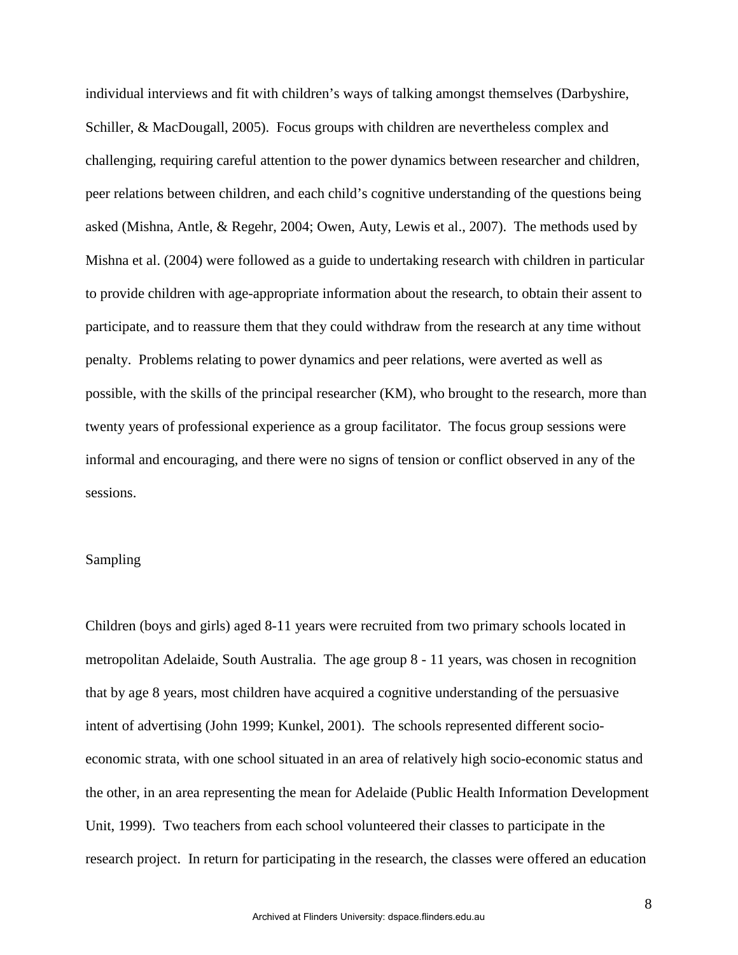individual interviews and fit with children's ways of talking amongst themselves (Darbyshire, Schiller, & MacDougall, 2005). Focus groups with children are nevertheless complex and challenging, requiring careful attention to the power dynamics between researcher and children, peer relations between children, and each child's cognitive understanding of the questions being asked (Mishna, Antle, & Regehr, 2004; Owen, Auty, Lewis et al., 2007). The methods used by Mishna et al. (2004) were followed as a guide to undertaking research with children in particular to provide children with age-appropriate information about the research, to obtain their assent to participate, and to reassure them that they could withdraw from the research at any time without penalty. Problems relating to power dynamics and peer relations, were averted as well as possible, with the skills of the principal researcher (KM), who brought to the research, more than twenty years of professional experience as a group facilitator. The focus group sessions were informal and encouraging, and there were no signs of tension or conflict observed in any of the sessions.

## Sampling

Children (boys and girls) aged 8-11 years were recruited from two primary schools located in metropolitan Adelaide, South Australia. The age group 8 - 11 years, was chosen in recognition that by age 8 years, most children have acquired a cognitive understanding of the persuasive intent of advertising (John 1999; Kunkel, 2001). The schools represented different socioeconomic strata, with one school situated in an area of relatively high socio-economic status and the other, in an area representing the mean for Adelaide (Public Health Information Development Unit, 1999). Two teachers from each school volunteered their classes to participate in the research project. In return for participating in the research, the classes were offered an education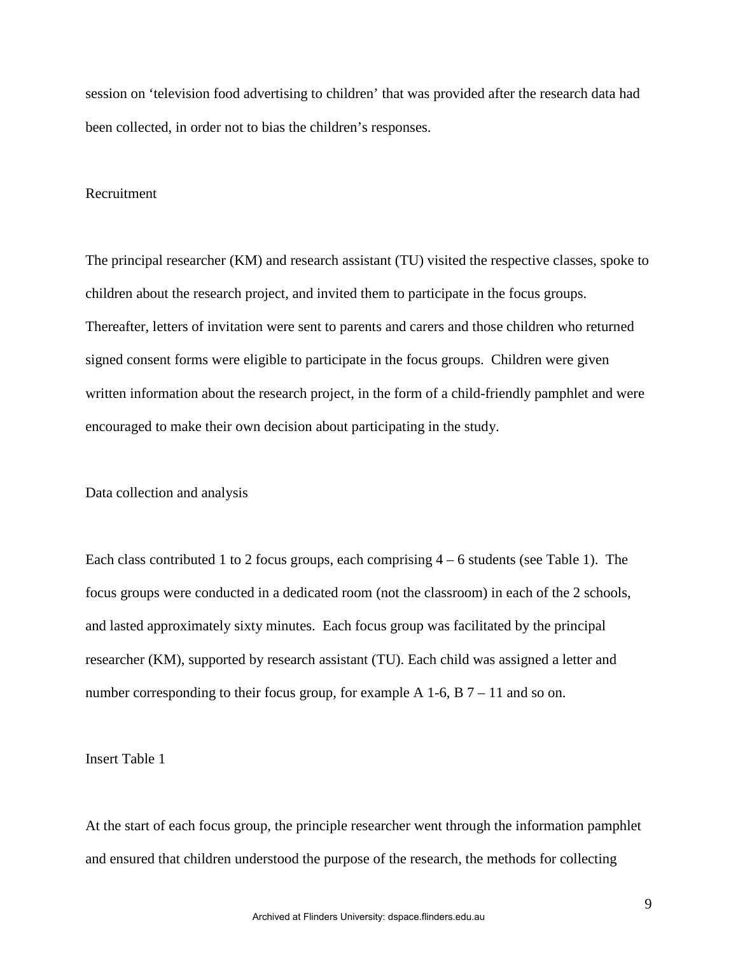session on 'television food advertising to children' that was provided after the research data had been collected, in order not to bias the children's responses.

#### Recruitment

The principal researcher (KM) and research assistant (TU) visited the respective classes, spoke to children about the research project, and invited them to participate in the focus groups. Thereafter, letters of invitation were sent to parents and carers and those children who returned signed consent forms were eligible to participate in the focus groups. Children were given written information about the research project, in the form of a child-friendly pamphlet and were encouraged to make their own decision about participating in the study.

Data collection and analysis

Each class contributed 1 to 2 focus groups, each comprising  $4 - 6$  students (see Table 1). The focus groups were conducted in a dedicated room (not the classroom) in each of the 2 schools, and lasted approximately sixty minutes. Each focus group was facilitated by the principal researcher (KM), supported by research assistant (TU). Each child was assigned a letter and number corresponding to their focus group, for example A 1-6, B 7 – 11 and so on.

Insert Table 1

At the start of each focus group, the principle researcher went through the information pamphlet and ensured that children understood the purpose of the research, the methods for collecting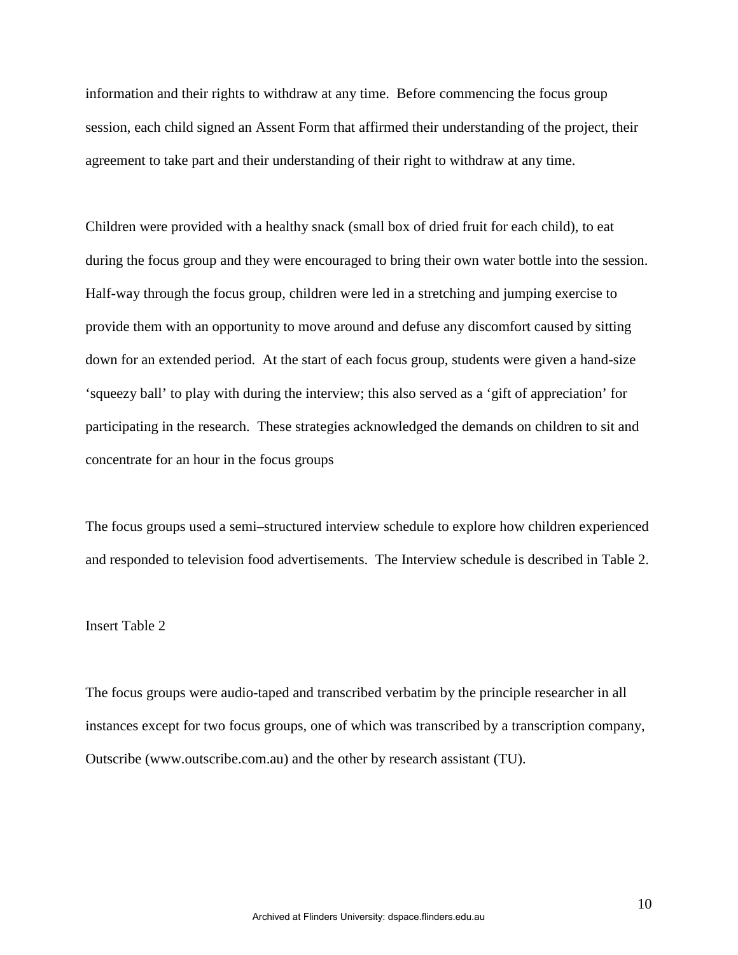information and their rights to withdraw at any time. Before commencing the focus group session, each child signed an Assent Form that affirmed their understanding of the project, their agreement to take part and their understanding of their right to withdraw at any time.

Children were provided with a healthy snack (small box of dried fruit for each child), to eat during the focus group and they were encouraged to bring their own water bottle into the session. Half-way through the focus group, children were led in a stretching and jumping exercise to provide them with an opportunity to move around and defuse any discomfort caused by sitting down for an extended period. At the start of each focus group, students were given a hand-size 'squeezy ball' to play with during the interview; this also served as a 'gift of appreciation' for participating in the research. These strategies acknowledged the demands on children to sit and concentrate for an hour in the focus groups

The focus groups used a semi–structured interview schedule to explore how children experienced and responded to television food advertisements. The Interview schedule is described in Table 2.

### Insert Table 2

The focus groups were audio-taped and transcribed verbatim by the principle researcher in all instances except for two focus groups, one of which was transcribed by a transcription company, Outscribe (www.outscribe.com.au) and the other by research assistant (TU).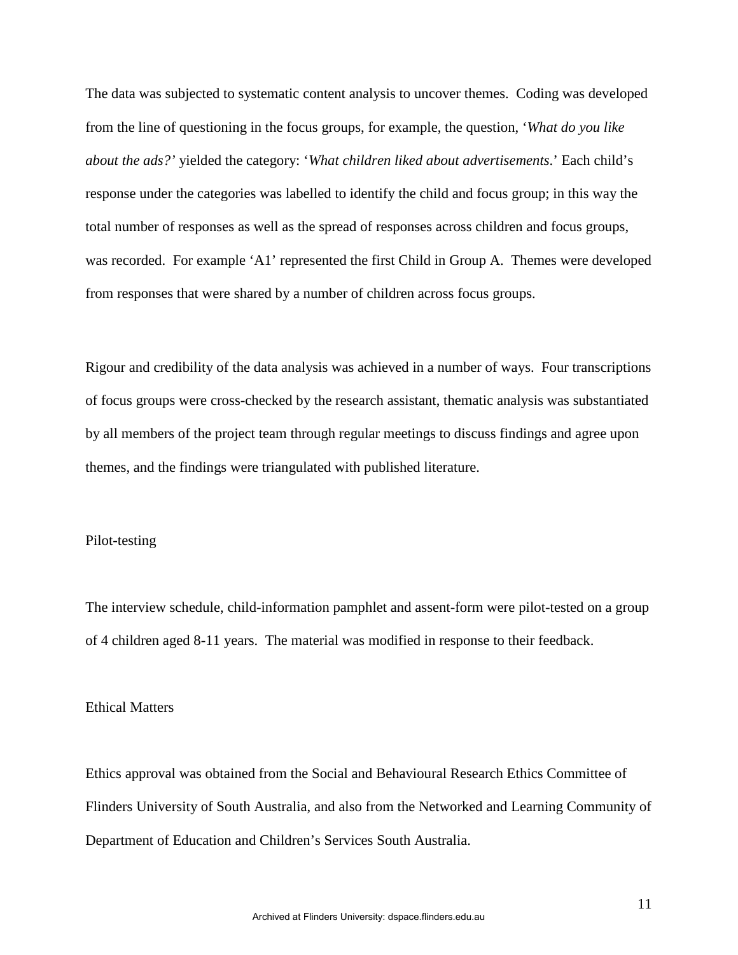The data was subjected to systematic content analysis to uncover themes. Coding was developed from the line of questioning in the focus groups, for example, the question, '*What do you like about the ads?'* yielded the category: '*What children liked about advertisements*.' Each child's response under the categories was labelled to identify the child and focus group; in this way the total number of responses as well as the spread of responses across children and focus groups, was recorded. For example 'A1' represented the first Child in Group A. Themes were developed from responses that were shared by a number of children across focus groups.

Rigour and credibility of the data analysis was achieved in a number of ways. Four transcriptions of focus groups were cross-checked by the research assistant, thematic analysis was substantiated by all members of the project team through regular meetings to discuss findings and agree upon themes, and the findings were triangulated with published literature.

## Pilot-testing

The interview schedule, child-information pamphlet and assent-form were pilot-tested on a group of 4 children aged 8-11 years. The material was modified in response to their feedback.

#### Ethical Matters

Ethics approval was obtained from the Social and Behavioural Research Ethics Committee of Flinders University of South Australia, and also from the Networked and Learning Community of Department of Education and Children's Services South Australia.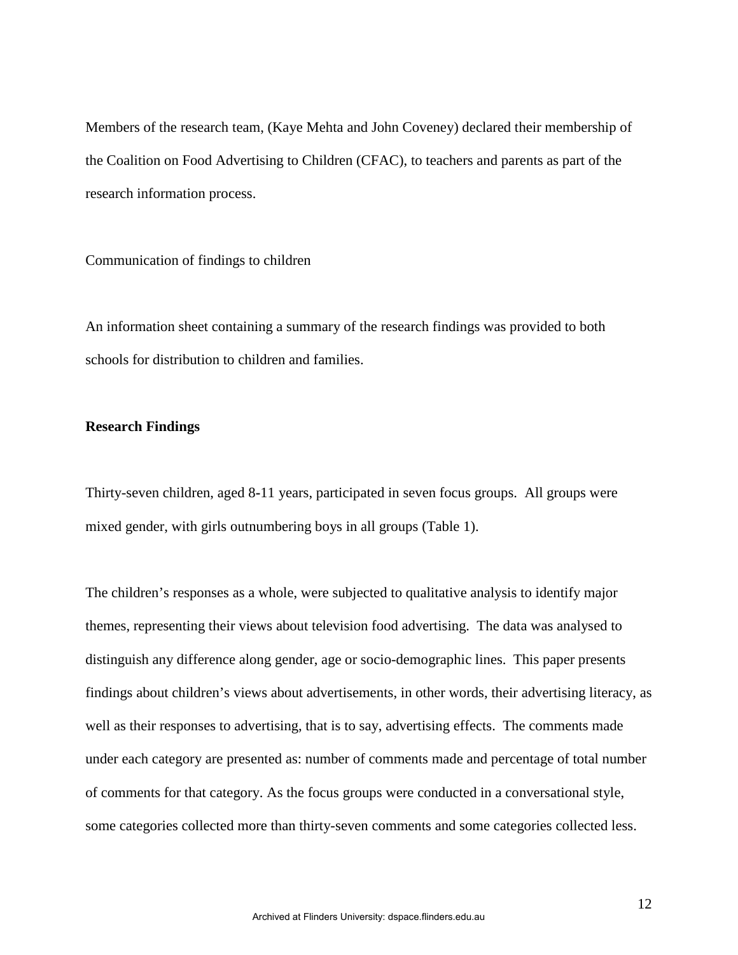Members of the research team, (Kaye Mehta and John Coveney) declared their membership of the Coalition on Food Advertising to Children (CFAC), to teachers and parents as part of the research information process.

Communication of findings to children

An information sheet containing a summary of the research findings was provided to both schools for distribution to children and families.

## **Research Findings**

Thirty-seven children, aged 8**-**11 years, participated in seven focus groups. All groups were mixed gender, with girls outnumbering boys in all groups (Table 1).

The children's responses as a whole, were subjected to qualitative analysis to identify major themes, representing their views about television food advertising. The data was analysed to distinguish any difference along gender, age or socio-demographic lines. This paper presents findings about children's views about advertisements, in other words, their advertising literacy, as well as their responses to advertising, that is to say, advertising effects. The comments made under each category are presented as: number of comments made and percentage of total number of comments for that category. As the focus groups were conducted in a conversational style, some categories collected more than thirty-seven comments and some categories collected less.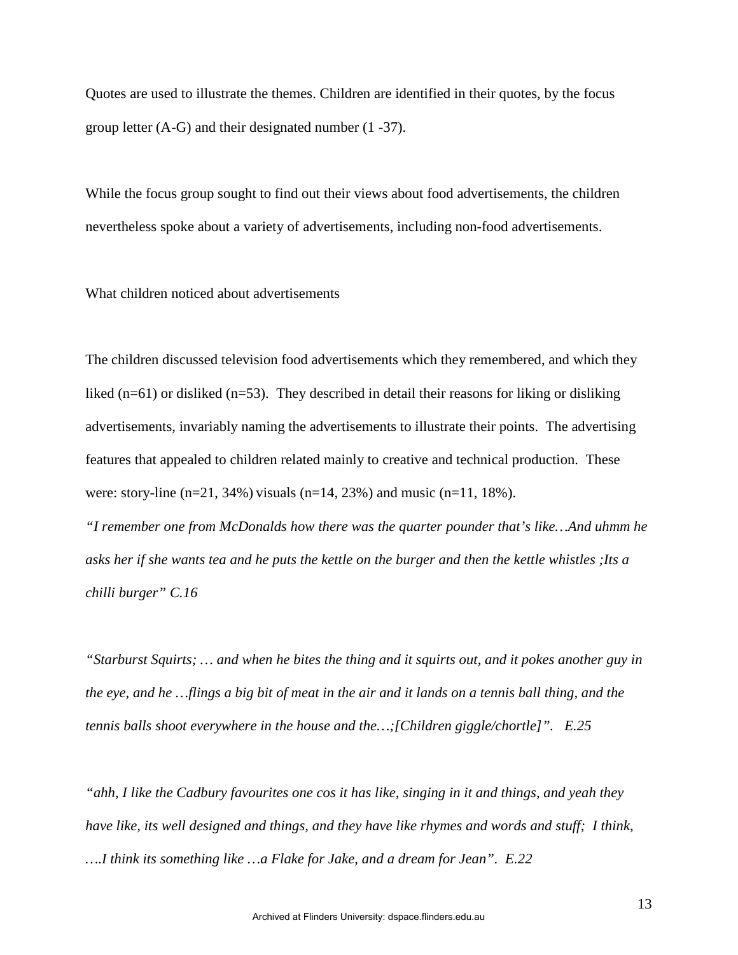Quotes are used to illustrate the themes. Children are identified in their quotes, by the focus group letter (A-G) and their designated number (1 -37).

While the focus group sought to find out their views about food advertisements, the children nevertheless spoke about a variety of advertisements, including non-food advertisements.

What children noticed about advertisements

The children discussed television food advertisements which they remembered, and which they liked (n=61) or disliked (n=53). They described in detail their reasons for liking or disliking advertisements, invariably naming the advertisements to illustrate their points. The advertising features that appealed to children related mainly to creative and technical production. These were: story-line (n=21, 34%) visuals (n=14, 23%) and music (n=11, 18%).

*"I remember one from McDonalds how there was the quarter pounder that's like…And uhmm he asks her if she wants tea and he puts the kettle on the burger and then the kettle whistles ;Its a chilli burger" C.16* 

*"Starburst Squirts; … and when he bites the thing and it squirts out, and it pokes another guy in the eye, and he …flings a big bit of meat in the air and it lands on a tennis ball thing, and the tennis balls shoot everywhere in the house and the…;[Children giggle/chortle]". E.25* 

*"ahh, I like the Cadbury favourites one cos it has like, singing in it and things, and yeah they have like, its well designed and things, and they have like rhymes and words and stuff; I think, ….I think its something like …a Flake for Jake, and a dream for Jean". E.22*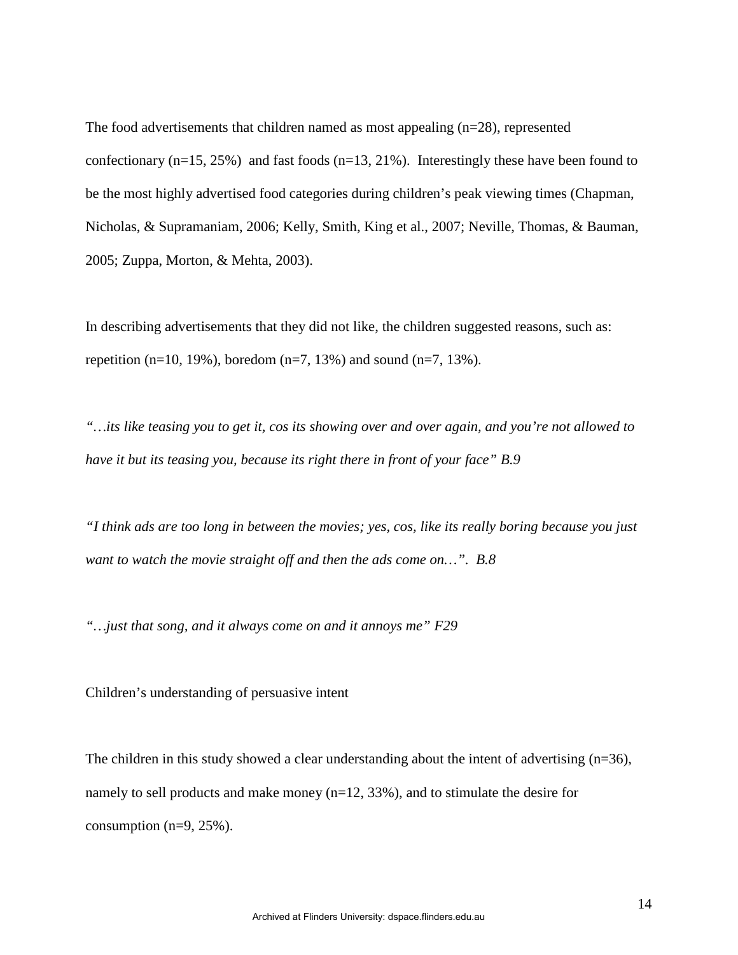The food advertisements that children named as most appealing  $(n=28)$ , represented confectionary  $(n=15, 25%)$  and fast foods  $(n=13, 21%)$ . Interestingly these have been found to be the most highly advertised food categories during children's peak viewing times (Chapman, Nicholas, & Supramaniam, 2006; Kelly, Smith, King et al., 2007; Neville, Thomas, & Bauman, 2005; Zuppa, Morton, & Mehta, 2003).

In describing advertisements that they did not like, the children suggested reasons, such as: repetition (n=10, 19%), boredom (n=7, 13%) and sound (n=7, 13%).

*"…its like teasing you to get it, cos its showing over and over again, and you're not allowed to have it but its teasing you, because its right there in front of your face" B.9* 

*"I think ads are too long in between the movies; yes, cos, like its really boring because you just want to watch the movie straight off and then the ads come on…". B.8* 

*"…just that song, and it always come on and it annoys me" F29* 

Children's understanding of persuasive intent

The children in this study showed a clear understanding about the intent of advertising (n=36), namely to sell products and make money (n=12, 33%), and to stimulate the desire for consumption (n=9, 25%).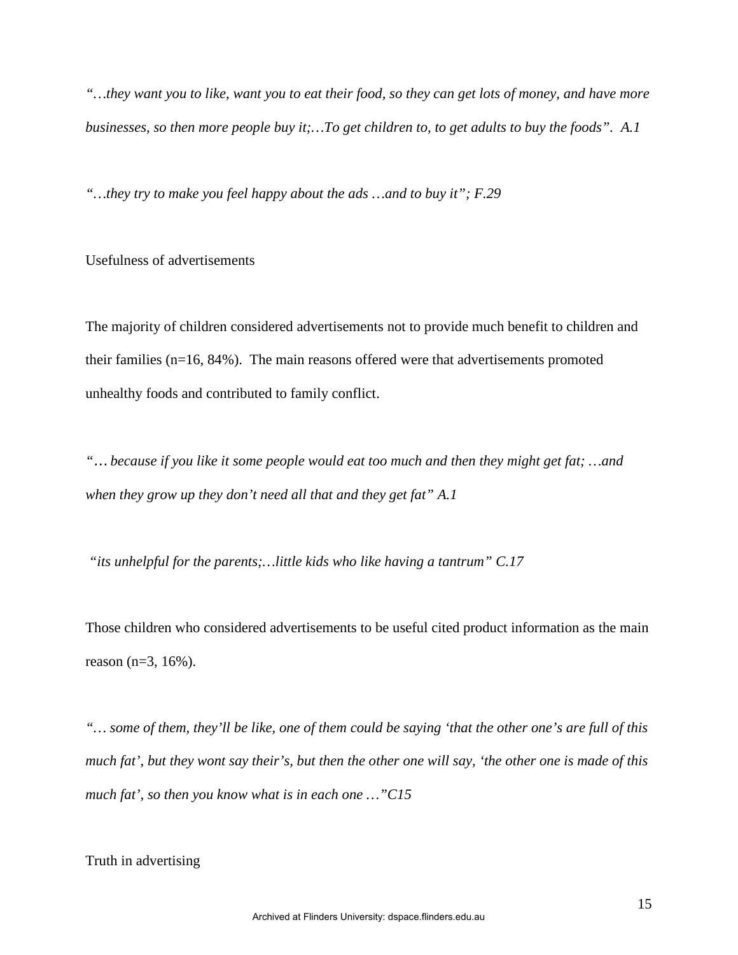*"…they want you to like, want you to eat their food, so they can get lots of money, and have more businesses, so then more people buy it;…To get children to, to get adults to buy the foods". A.1* 

*"…they try to make you feel happy about the ads …and to buy it"; F.29* 

## Usefulness of advertisements

The majority of children considered advertisements not to provide much benefit to children and their families (n=16, 84%). The main reasons offered were that advertisements promoted unhealthy foods and contributed to family conflict.

*"… because if you like it some people would eat too much and then they might get fat; …and when they grow up they don't need all that and they get fat" A.1* 

 *"its unhelpful for the parents;…little kids who like having a tantrum" C.17* 

Those children who considered advertisements to be useful cited product information as the main reason (n=3, 16%).

*"… some of them, they'll be like, one of them could be saying 'that the other one's are full of this much fat', but they wont say their's, but then the other one will say, 'the other one is made of this much fat', so then you know what is in each one …"C15* 

## Truth in advertising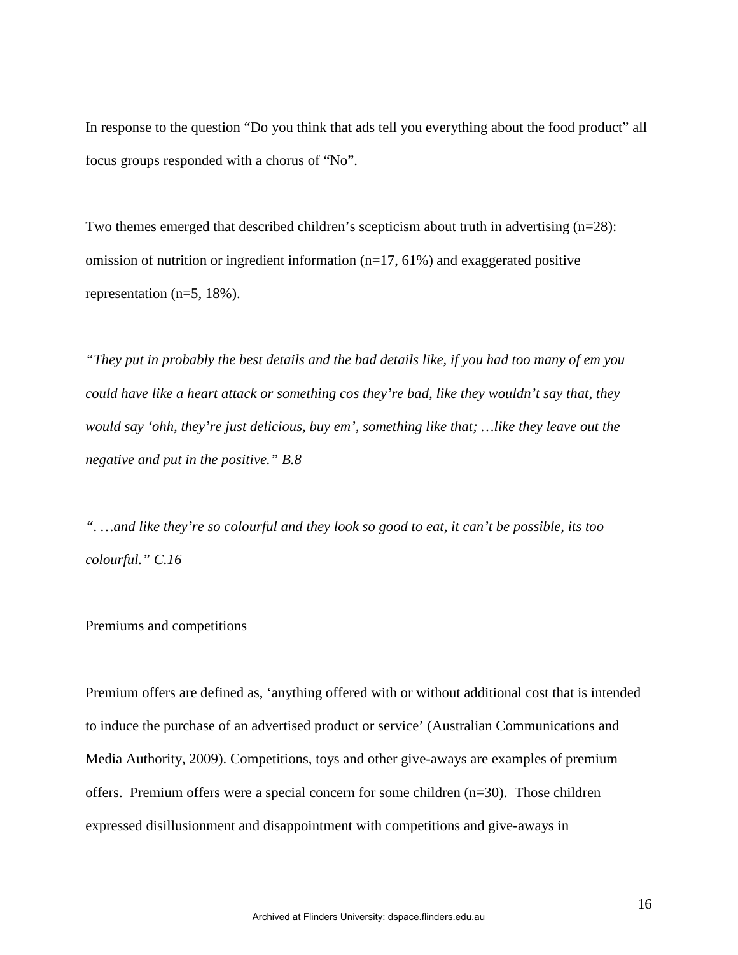In response to the question "Do you think that ads tell you everything about the food product" all focus groups responded with a chorus of "No".

Two themes emerged that described children's scepticism about truth in advertising (n=28): omission of nutrition or ingredient information (n=17, 61%) and exaggerated positive representation (n=5, 18%).

*"They put in probably the best details and the bad details like, if you had too many of em you could have like a heart attack or something cos they're bad, like they wouldn't say that, they would say 'ohh, they're just delicious, buy em', something like that; …like they leave out the negative and put in the positive." B.8* 

*". …and like they're so colourful and they look so good to eat, it can't be possible, its too colourful." C.16* 

### Premiums and competitions

Premium offers are defined as, 'anything offered with or without additional cost that is intended to induce the purchase of an advertised product or service' (Australian Communications and Media Authority, 2009). Competitions, toys and other give-aways are examples of premium offers. Premium offers were a special concern for some children (n=30). Those children expressed disillusionment and disappointment with competitions and give-aways in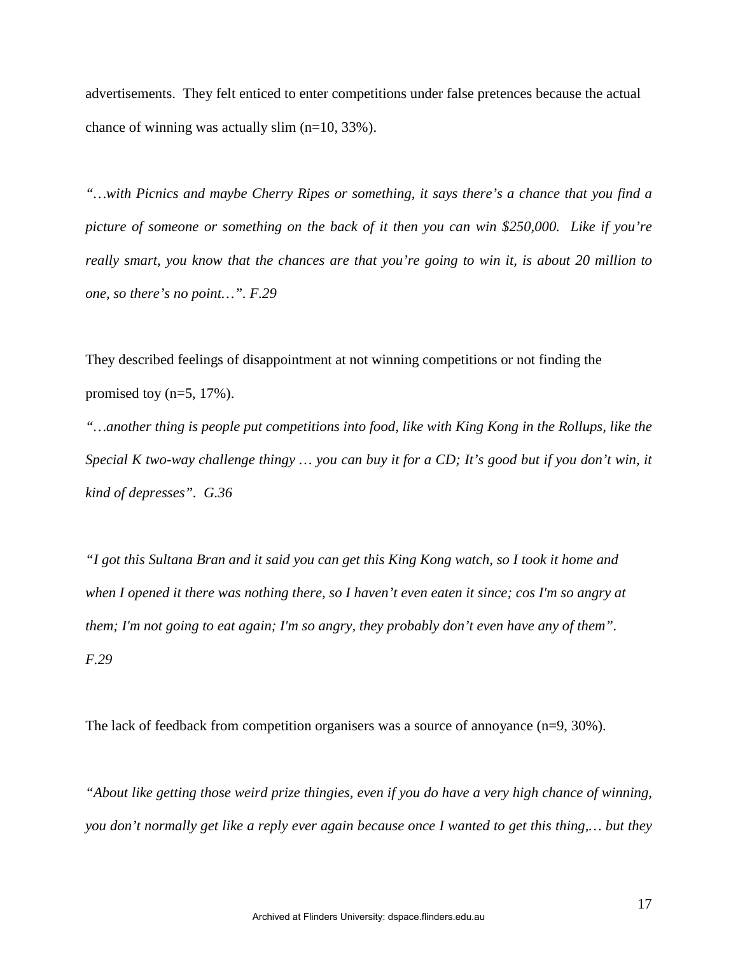advertisements. They felt enticed to enter competitions under false pretences because the actual chance of winning was actually slim  $(n=10, 33\%)$ .

*"…with Picnics and maybe Cherry Ripes or something, it says there's a chance that you find a picture of someone or something on the back of it then you can win \$250,000. Like if you're really smart, you know that the chances are that you're going to win it, is about 20 million to one, so there's no point…". F.29* 

They described feelings of disappointment at not winning competitions or not finding the promised toy  $(n=5, 17\%)$ .

*"…another thing is people put competitions into food, like with King Kong in the Rollups, like the Special K two-way challenge thingy … you can buy it for a CD; It's good but if you don't win, it kind of depresses". G.36* 

*"I got this Sultana Bran and it said you can get this King Kong watch, so I took it home and when I opened it there was nothing there, so I haven't even eaten it since; cos I'm so angry at them; I'm not going to eat again; I'm so angry, they probably don't even have any of them". F.29* 

The lack of feedback from competition organisers was a source of annoyance (n=9, 30%).

*"About like getting those weird prize thingies, even if you do have a very high chance of winning, you don't normally get like a reply ever again because once I wanted to get this thing,… but they*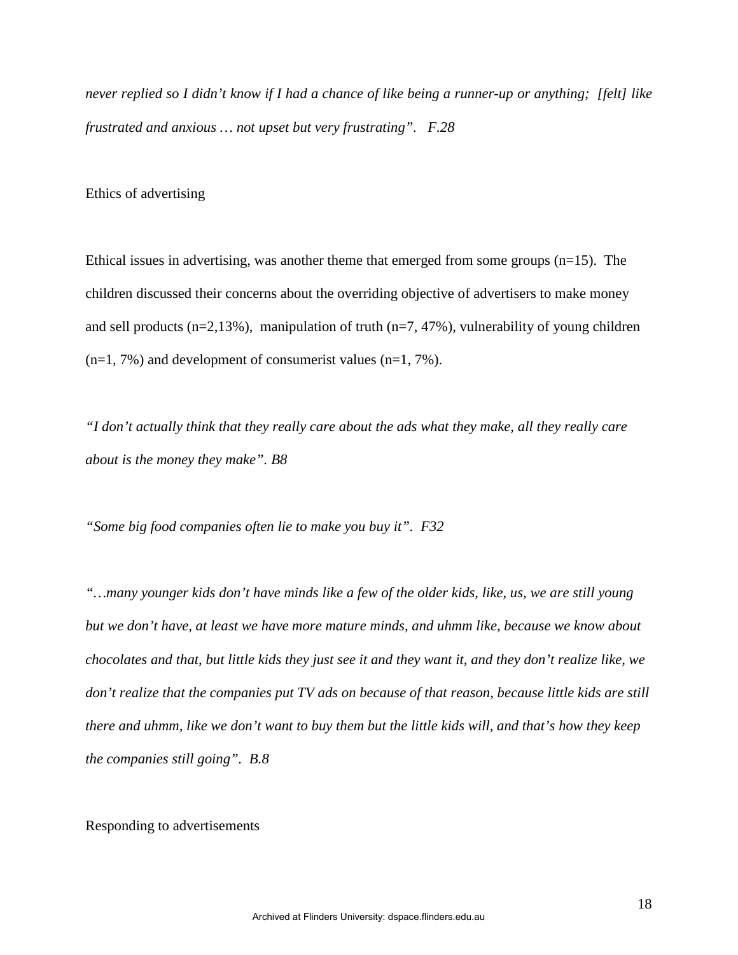*never replied so I didn't know if I had a chance of like being a runner-up or anything; [felt] like frustrated and anxious … not upset but very frustrating". F.28* 

Ethics of advertising

Ethical issues in advertising, was another theme that emerged from some groups (n=15). The children discussed their concerns about the overriding objective of advertisers to make money and sell products (n=2,13%), manipulation of truth (n=7, 47%), vulnerability of young children  $(n=1, 7\%)$  and development of consumerist values  $(n=1, 7\%)$ .

*"I don't actually think that they really care about the ads what they make, all they really care about is the money they make". B8* 

*"Some big food companies often lie to make you buy it". F32* 

*"…many younger kids don't have minds like a few of the older kids, like, us, we are still young but we don't have, at least we have more mature minds, and uhmm like, because we know about chocolates and that, but little kids they just see it and they want it, and they don't realize like, we don't realize that the companies put TV ads on because of that reason, because little kids are still there and uhmm, like we don't want to buy them but the little kids will, and that's how they keep the companies still going". B.8* 

Responding to advertisements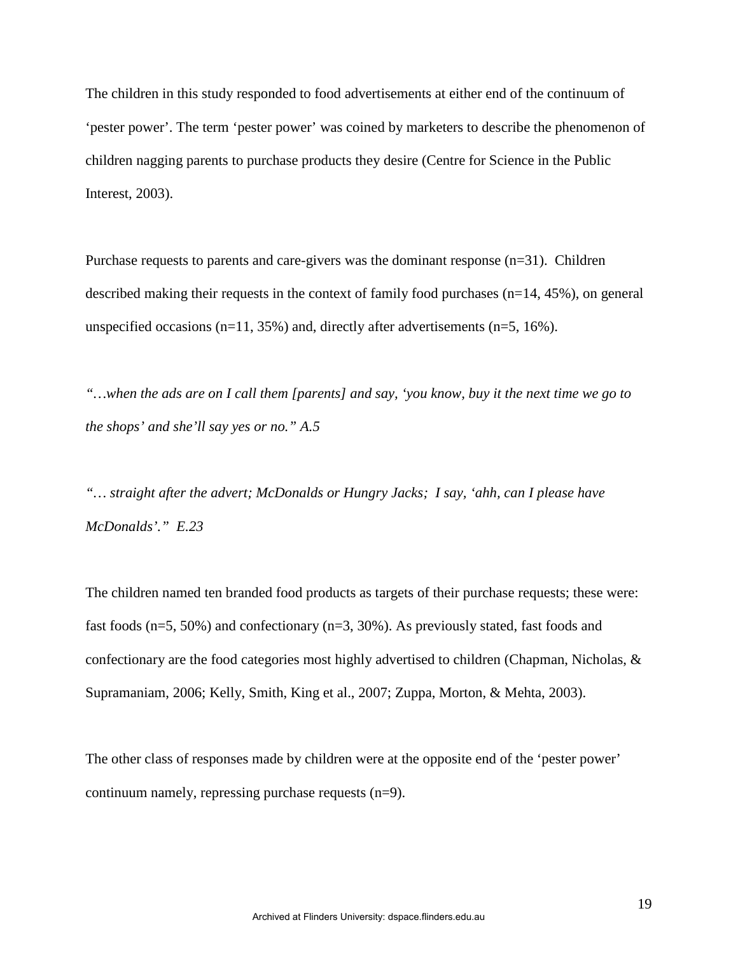The children in this study responded to food advertisements at either end of the continuum of 'pester power'. The term 'pester power' was coined by marketers to describe the phenomenon of children nagging parents to purchase products they desire (Centre for Science in the Public Interest, 2003).

Purchase requests to parents and care-givers was the dominant response (n=31). Children described making their requests in the context of family food purchases (n=14, 45%), on general unspecified occasions ( $n=11$ , 35%) and, directly after advertisements ( $n=5$ , 16%).

*"…when the ads are on I call them [parents] and say, 'you know, buy it the next time we go to the shops' and she'll say yes or no." A.5* 

*"… straight after the advert; McDonalds or Hungry Jacks; I say, 'ahh, can I please have McDonalds'." E.23* 

The children named ten branded food products as targets of their purchase requests; these were: fast foods (n=5, 50%) and confectionary (n=3, 30%). As previously stated, fast foods and confectionary are the food categories most highly advertised to children (Chapman, Nicholas, & Supramaniam, 2006; Kelly, Smith, King et al., 2007; Zuppa, Morton, & Mehta, 2003).

The other class of responses made by children were at the opposite end of the 'pester power' continuum namely, repressing purchase requests (n=9).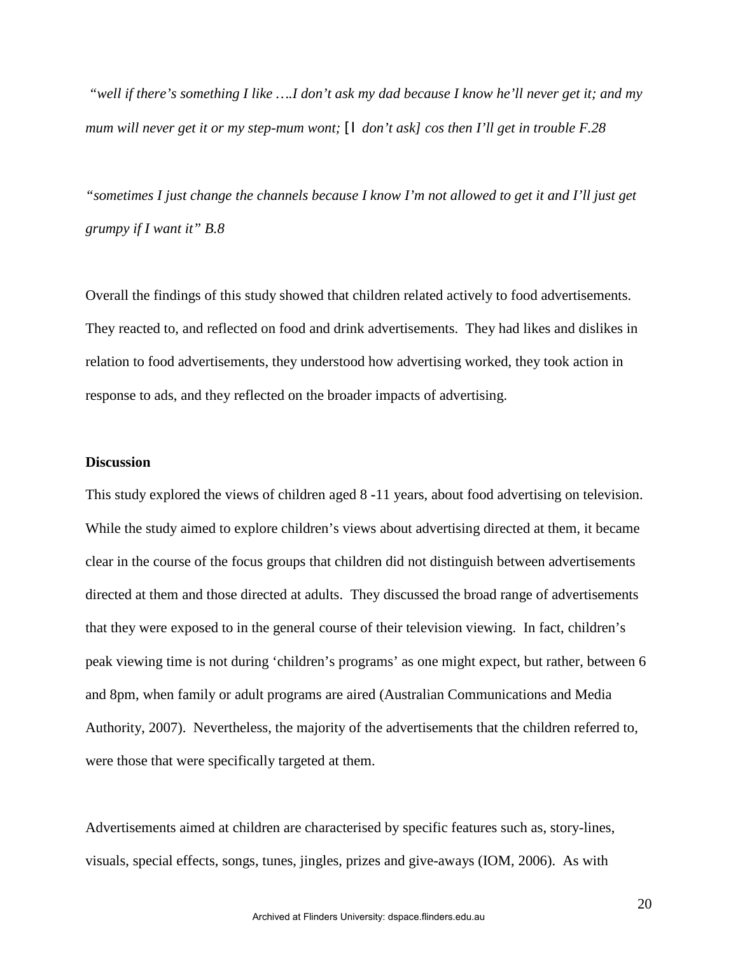*"well if there's something I like ….I don't ask my dad because I know he'll never get it; and my mum will never get it or my step-mum wont; [I don't ask] cos then I'll get in trouble F.28* 

*"sometimes I just change the channels because I know I'm not allowed to get it and I'll just get grumpy if I want it" B.8*

Overall the findings of this study showed that children related actively to food advertisements. They reacted to, and reflected on food and drink advertisements. They had likes and dislikes in relation to food advertisements, they understood how advertising worked, they took action in response to ads, and they reflected on the broader impacts of advertising.

# **Discussion**

This study explored the views of children aged 8 **-**11 years, about food advertising on television. While the study aimed to explore children's views about advertising directed at them, it became clear in the course of the focus groups that children did not distinguish between advertisements directed at them and those directed at adults. They discussed the broad range of advertisements that they were exposed to in the general course of their television viewing. In fact, children's peak viewing time is not during 'children's programs' as one might expect, but rather, between 6 and 8pm, when family or adult programs are aired (Australian Communications and Media Authority, 2007). Nevertheless, the majority of the advertisements that the children referred to, were those that were specifically targeted at them.

Advertisements aimed at children are characterised by specific features such as, story-lines, visuals, special effects, songs, tunes, jingles, prizes and give-aways (IOM, 2006). As with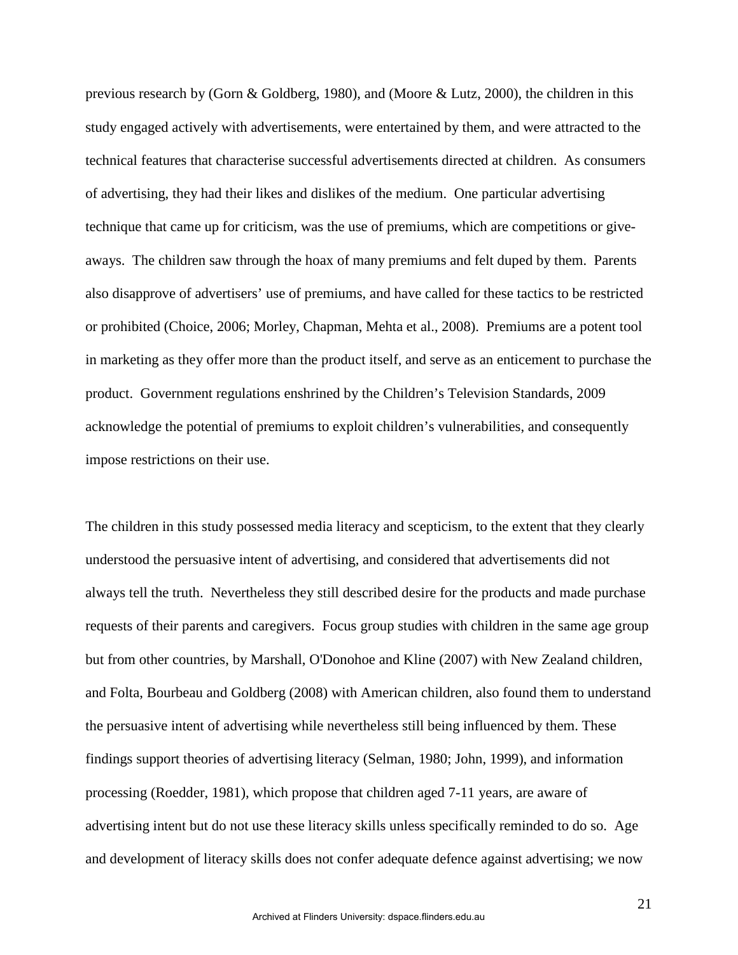previous research by (Gorn & Goldberg, 1980), and (Moore & Lutz, 2000), the children in this study engaged actively with advertisements, were entertained by them, and were attracted to the technical features that characterise successful advertisements directed at children. As consumers of advertising, they had their likes and dislikes of the medium. One particular advertising technique that came up for criticism, was the use of premiums, which are competitions or giveaways. The children saw through the hoax of many premiums and felt duped by them. Parents also disapprove of advertisers' use of premiums, and have called for these tactics to be restricted or prohibited (Choice, 2006; Morley, Chapman, Mehta et al., 2008). Premiums are a potent tool in marketing as they offer more than the product itself, and serve as an enticement to purchase the product. Government regulations enshrined by the Children's Television Standards, 2009 acknowledge the potential of premiums to exploit children's vulnerabilities, and consequently impose restrictions on their use.

The children in this study possessed media literacy and scepticism, to the extent that they clearly understood the persuasive intent of advertising, and considered that advertisements did not always tell the truth. Nevertheless they still described desire for the products and made purchase requests of their parents and caregivers. Focus group studies with children in the same age group but from other countries, by Marshall, O'Donohoe and Kline (2007) with New Zealand children, and Folta, Bourbeau and Goldberg (2008) with American children, also found them to understand the persuasive intent of advertising while nevertheless still being influenced by them. These findings support theories of advertising literacy (Selman, 1980; John, 1999), and information processing (Roedder, 1981), which propose that children aged 7-11 years, are aware of advertising intent but do not use these literacy skills unless specifically reminded to do so. Age and development of literacy skills does not confer adequate defence against advertising; we now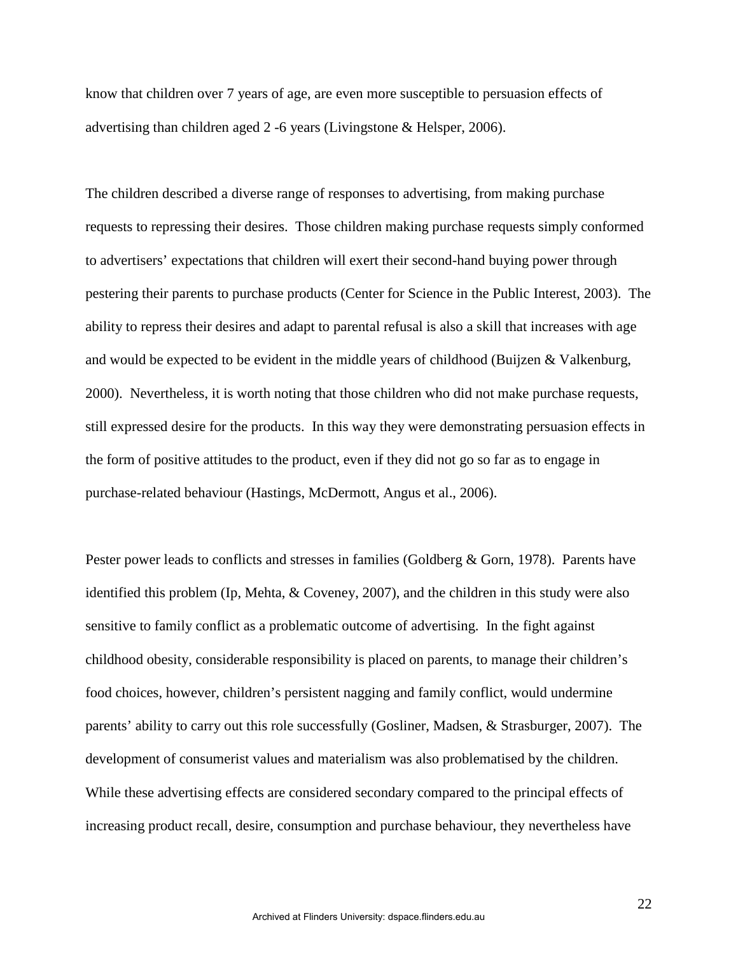know that children over 7 years of age, are even more susceptible to persuasion effects of advertising than children aged 2 -6 years (Livingstone & Helsper, 2006).

The children described a diverse range of responses to advertising, from making purchase requests to repressing their desires. Those children making purchase requests simply conformed to advertisers' expectations that children will exert their second-hand buying power through pestering their parents to purchase products (Center for Science in the Public Interest, 2003). The ability to repress their desires and adapt to parental refusal is also a skill that increases with age and would be expected to be evident in the middle years of childhood (Buijzen & Valkenburg, 2000). Nevertheless, it is worth noting that those children who did not make purchase requests, still expressed desire for the products. In this way they were demonstrating persuasion effects in the form of positive attitudes to the product, even if they did not go so far as to engage in purchase-related behaviour (Hastings, McDermott, Angus et al., 2006).

Pester power leads to conflicts and stresses in families (Goldberg & Gorn, 1978). Parents have identified this problem (Ip, Mehta, & Coveney, 2007), and the children in this study were also sensitive to family conflict as a problematic outcome of advertising. In the fight against childhood obesity, considerable responsibility is placed on parents, to manage their children's food choices, however, children's persistent nagging and family conflict, would undermine parents' ability to carry out this role successfully (Gosliner, Madsen, & Strasburger, 2007). The development of consumerist values and materialism was also problematised by the children. While these advertising effects are considered secondary compared to the principal effects of increasing product recall, desire, consumption and purchase behaviour, they nevertheless have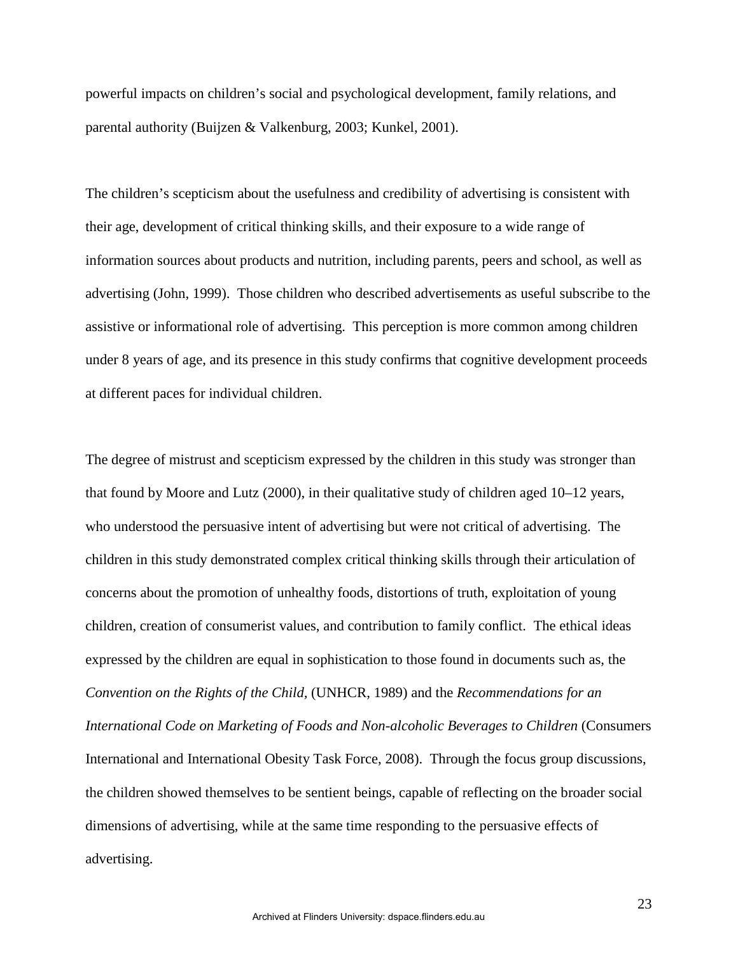powerful impacts on children's social and psychological development, family relations, and parental authority (Buijzen & Valkenburg, 2003; Kunkel, 2001).

The children's scepticism about the usefulness and credibility of advertising is consistent with their age, development of critical thinking skills, and their exposure to a wide range of information sources about products and nutrition, including parents, peers and school, as well as advertising (John, 1999). Those children who described advertisements as useful subscribe to the assistive or informational role of advertising. This perception is more common among children under 8 years of age, and its presence in this study confirms that cognitive development proceeds at different paces for individual children.

The degree of mistrust and scepticism expressed by the children in this study was stronger than that found by Moore and Lutz (2000), in their qualitative study of children aged 10–12 years, who understood the persuasive intent of advertising but were not critical of advertising. The children in this study demonstrated complex critical thinking skills through their articulation of concerns about the promotion of unhealthy foods, distortions of truth, exploitation of young children, creation of consumerist values, and contribution to family conflict. The ethical ideas expressed by the children are equal in sophistication to those found in documents such as, the *Convention on the Rights of the Child,* (UNHCR, 1989) and the *Recommendations for an International Code on Marketing of Foods and Non-alcoholic Beverages to Children* (Consumers International and International Obesity Task Force, 2008). Through the focus group discussions, the children showed themselves to be sentient beings, capable of reflecting on the broader social dimensions of advertising, while at the same time responding to the persuasive effects of advertising.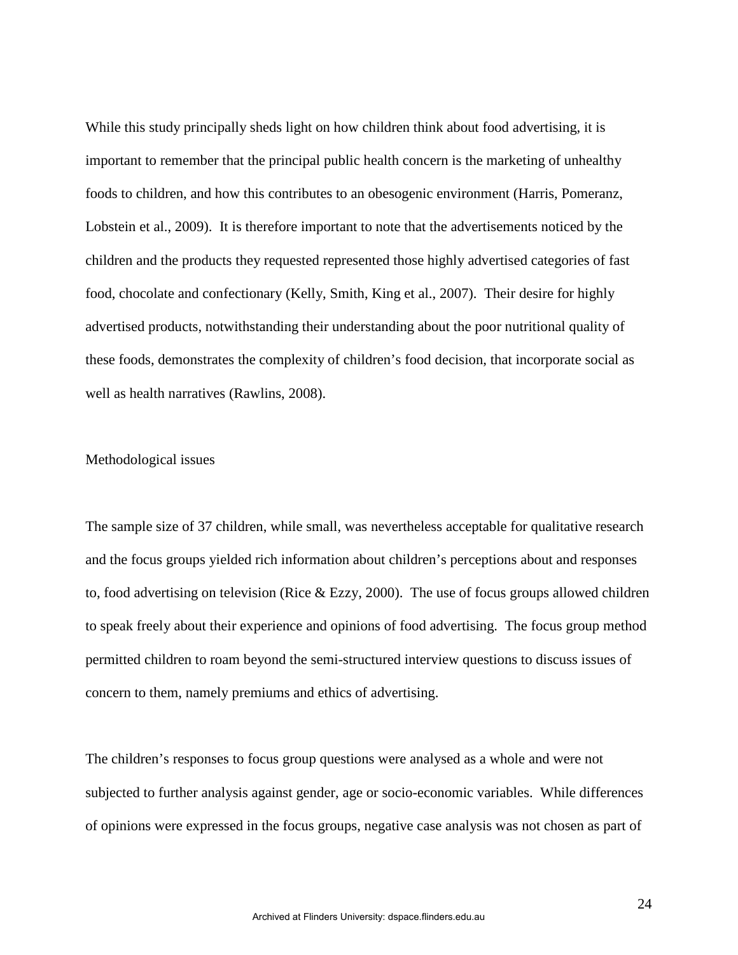While this study principally sheds light on how children think about food advertising, it is important to remember that the principal public health concern is the marketing of unhealthy foods to children, and how this contributes to an obesogenic environment (Harris, Pomeranz, Lobstein et al., 2009). It is therefore important to note that the advertisements noticed by the children and the products they requested represented those highly advertised categories of fast food, chocolate and confectionary (Kelly, Smith, King et al., 2007). Their desire for highly advertised products, notwithstanding their understanding about the poor nutritional quality of these foods, demonstrates the complexity of children's food decision, that incorporate social as well as health narratives (Rawlins, 2008).

## Methodological issues

The sample size of 37 children, while small, was nevertheless acceptable for qualitative research and the focus groups yielded rich information about children's perceptions about and responses to, food advertising on television (Rice & Ezzy, 2000). The use of focus groups allowed children to speak freely about their experience and opinions of food advertising. The focus group method permitted children to roam beyond the semi-structured interview questions to discuss issues of concern to them, namely premiums and ethics of advertising.

The children's responses to focus group questions were analysed as a whole and were not subjected to further analysis against gender, age or socio-economic variables. While differences of opinions were expressed in the focus groups, negative case analysis was not chosen as part of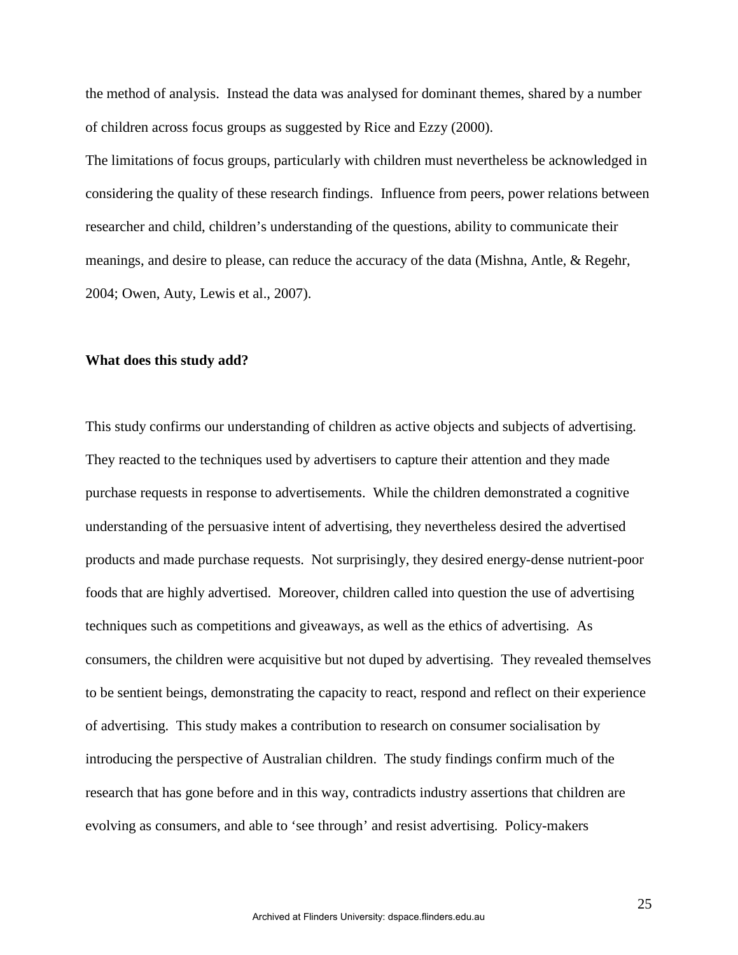the method of analysis. Instead the data was analysed for dominant themes, shared by a number of children across focus groups as suggested by Rice and Ezzy (2000).

The limitations of focus groups, particularly with children must nevertheless be acknowledged in considering the quality of these research findings. Influence from peers, power relations between researcher and child, children's understanding of the questions, ability to communicate their meanings, and desire to please, can reduce the accuracy of the data (Mishna, Antle, & Regehr, 2004; Owen, Auty, Lewis et al., 2007).

#### **What does this study add?**

This study confirms our understanding of children as active objects and subjects of advertising. They reacted to the techniques used by advertisers to capture their attention and they made purchase requests in response to advertisements. While the children demonstrated a cognitive understanding of the persuasive intent of advertising, they nevertheless desired the advertised products and made purchase requests. Not surprisingly, they desired energy-dense nutrient-poor foods that are highly advertised. Moreover, children called into question the use of advertising techniques such as competitions and giveaways, as well as the ethics of advertising. As consumers, the children were acquisitive but not duped by advertising. They revealed themselves to be sentient beings, demonstrating the capacity to react, respond and reflect on their experience of advertising. This study makes a contribution to research on consumer socialisation by introducing the perspective of Australian children. The study findings confirm much of the research that has gone before and in this way, contradicts industry assertions that children are evolving as consumers, and able to 'see through' and resist advertising. Policy-makers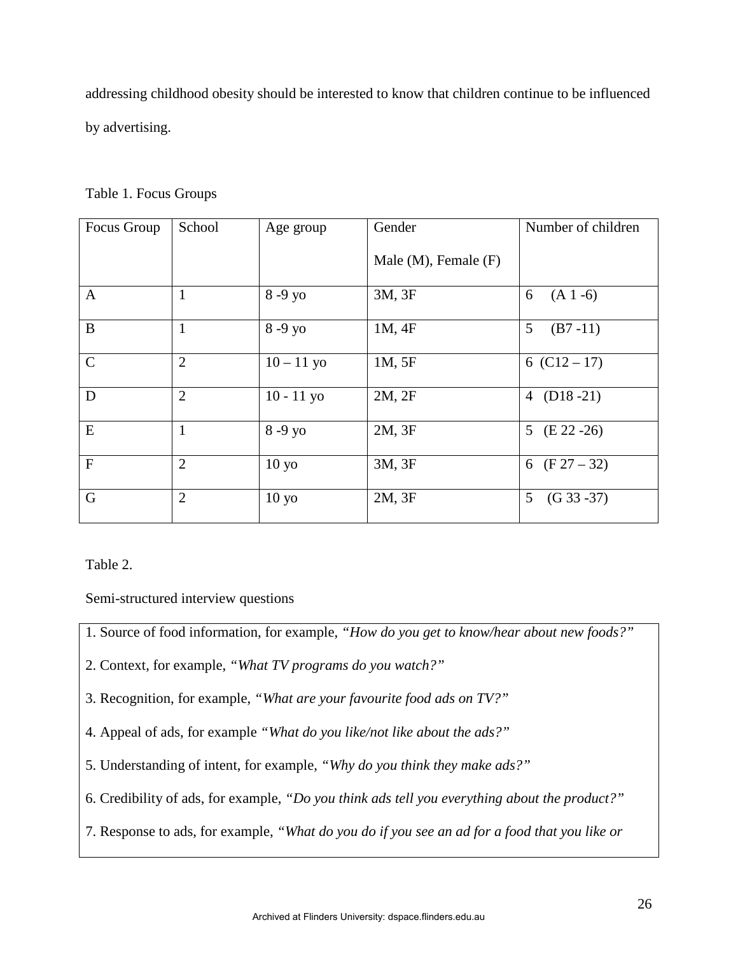addressing childhood obesity should be interested to know that children continue to be influenced by advertising.

| Table 1. Focus Groups |  |
|-----------------------|--|
|-----------------------|--|

| Focus Group   | School         | Age group    | Gender                    | Number of children |
|---------------|----------------|--------------|---------------------------|--------------------|
|               |                |              | Male $(M)$ , Female $(F)$ |                    |
| $\mathbf{A}$  | 1              | 8-9 yo       | 3M, 3F                    | $(A 1 -6)$<br>6    |
| $\bf{B}$      | $\mathbf{1}$   | $8 - 9y$ o   | 1M, 4F                    | 5<br>$(B7 - 11)$   |
| $\mathcal{C}$ | $\overline{2}$ | $10 - 11$ yo | 1M, 5F                    | 6 $(C12 - 17)$     |
| D             | $\overline{2}$ | $10 - 11$ yo | 2M, 2F                    | 4 $(D18 - 21)$     |
| E             | 1              | 8-9 yo       | 2M, 3F                    | 5 $(E 22 - 26)$    |
| $\mathbf{F}$  | $\overline{2}$ | $10 y$ o     | 3M, 3F                    | 6 $(F 27 - 32)$    |
| $\mathbf G$   | $\overline{2}$ | 10 yo        | 2M, 3F                    | 5<br>$(G33 - 37)$  |

Table 2.

Semi-structured interview questions

1. Source of food information, for example, *"How do you get to know/hear about new foods?"*

2. Context, for example, *"What TV programs do you watch?"*

3. Recognition, for example, *"What are your favourite food ads on TV?"*

4. Appeal of ads, for example *"What do you like/not like about the ads?"*

5. Understanding of intent, for example, *"Why do you think they make ads?"*

6. Credibility of ads, for example, *"Do you think ads tell you everything about the product?"*

7. Response to ads, for example, *"What do you do if you see an ad for a food that you like or*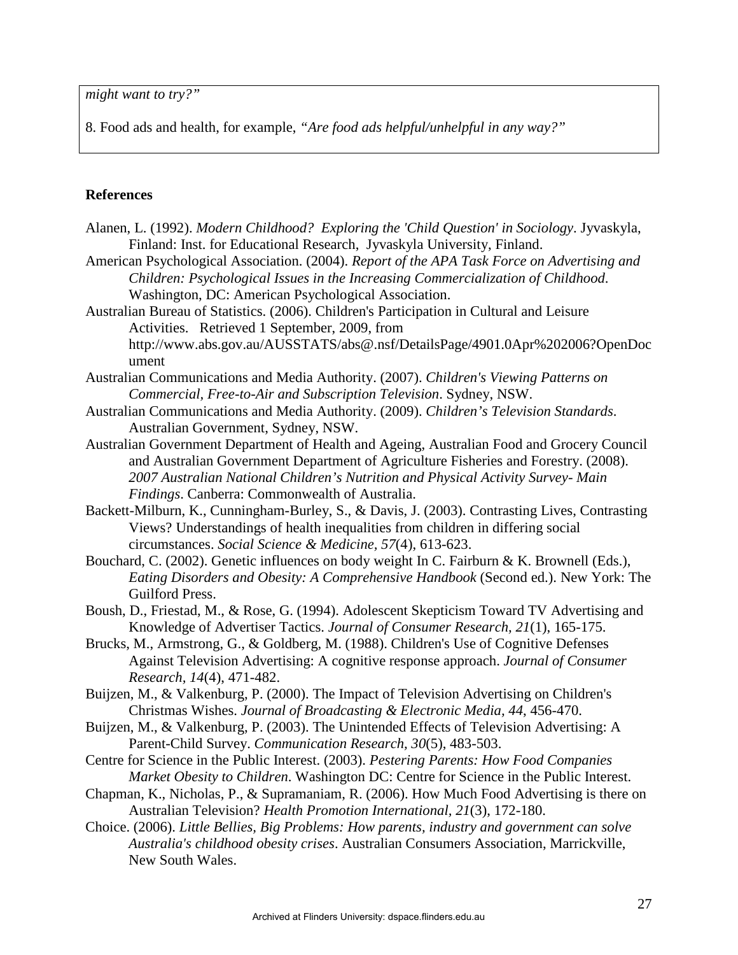*might want to try?"*

8. Food ads and health, for example, *"Are food ads helpful/unhelpful in any way?"*

# **References**

| Alanen, L. (1992). Modern Childhood? Exploring the 'Child Question' in Sociology. Jyvaskyla,              |
|-----------------------------------------------------------------------------------------------------------|
| Finland: Inst. for Educational Research, Jyvaskyla University, Finland.                                   |
| American Psychological Association. (2004). Report of the APA Task Force on Advertising and               |
| Children: Psychological Issues in the Increasing Commercialization of Childhood.                          |
| Washington, DC: American Psychological Association.                                                       |
| Australian Bureau of Statistics. (2006). Children's Participation in Cultural and Leisure                 |
| Activities. Retrieved 1 September, 2009, from                                                             |
| http://www.abs.gov.au/AUSSTATS/abs@.nsf/DetailsPage/4901.0Apr%202006?OpenDoc                              |
| ument                                                                                                     |
| Australian Communications and Media Authority. (2007). Children's Viewing Patterns on                     |
| Commercial, Free-to-Air and Subscription Television. Sydney, NSW.                                         |
| Australian Communications and Media Authority. (2009). Children's Television Standards.                   |
| Australian Government, Sydney, NSW.                                                                       |
| Australian Government Department of Health and Ageing, Australian Food and Grocery Council                |
| and Australian Government Department of Agriculture Fisheries and Forestry. (2008).                       |
| 2007 Australian National Children's Nutrition and Physical Activity Survey- Main                          |
| Findings. Canberra: Commonwealth of Australia.                                                            |
| Backett-Milburn, K., Cunningham-Burley, S., & Davis, J. (2003). Contrasting Lives, Contrasting            |
| Views? Understandings of health inequalities from children in differing social                            |
| circumstances. Social Science & Medicine, 57(4), 613-623.                                                 |
| Bouchard, C. (2002). Genetic influences on body weight In C. Fairburn & K. Brownell (Eds.),               |
| Eating Disorders and Obesity: A Comprehensive Handbook (Second ed.). New York: The                        |
| Guilford Press.                                                                                           |
| Boush, D., Friestad, M., & Rose, G. (1994). Adolescent Skepticism Toward TV Advertising and               |
| Knowledge of Advertiser Tactics. Journal of Consumer Research, 21(1), 165-175.                            |
| Brucks, M., Armstrong, G., & Goldberg, M. (1988). Children's Use of Cognitive Defenses                    |
| Against Television Advertising: A cognitive response approach. Journal of Consumer                        |
| Research, 14(4), 471-482.                                                                                 |
| Buijzen, M., & Valkenburg, P. (2000). The Impact of Television Advertising on Children's                  |
| Christmas Wishes. Journal of Broadcasting & Electronic Media, 44, 456-470.                                |
| Buijzen, M., & Valkenburg, P. (2003). The Unintended Effects of Television Advertising: A                 |
| Parent-Child Survey. Communication Research, 30(5), 483-503.                                              |
| Centre for Science in the Public Interest. (2003). Pestering Parents: How Food Companies                  |
| Market Obesity to Children. Washington DC: Centre for Science in the Public Interest.                     |
| Chapman, K., Nicholas, P., & Supramaniam, R. (2006). How Much Food Advertising is there on                |
| Australian Television? Health Promotion International, 21(3), 172-180.                                    |
| Choice. (2006). Little Bellies, Big Problems: How parents, industry and government can solve              |
| Australia's childhood obesity crises. Australian Consumers Association, Marrickville,<br>New South Wales. |
|                                                                                                           |
|                                                                                                           |
|                                                                                                           |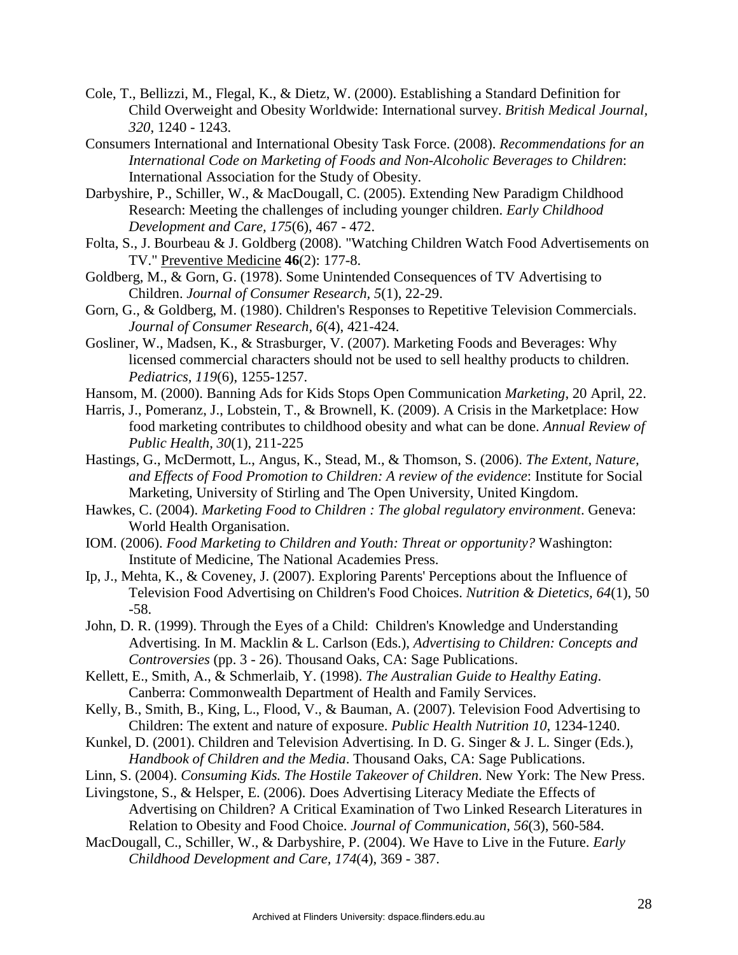- Cole, T., Bellizzi, M., Flegal, K., & Dietz, W. (2000). Establishing a Standard Definition for Child Overweight and Obesity Worldwide: International survey. *British Medical Journal, 320*, 1240 - 1243.
- Consumers International and International Obesity Task Force. (2008). *Recommendations for an International Code on Marketing of Foods and Non-Alcoholic Beverages to Children*: International Association for the Study of Obesity.
- Darbyshire, P., Schiller, W., & MacDougall, C. (2005). Extending New Paradigm Childhood Research: Meeting the challenges of including younger children. *Early Childhood Development and Care, 175*(6), 467 - 472.
- Folta, S., J. Bourbeau & J. Goldberg (2008). "Watching Children Watch Food Advertisements on TV." Preventive Medicine **46**(2): 177-8.
- Goldberg, M., & Gorn, G. (1978). Some Unintended Consequences of TV Advertising to Children. *Journal of Consumer Research, 5*(1), 22-29.
- Gorn, G., & Goldberg, M. (1980). Children's Responses to Repetitive Television Commercials. *Journal of Consumer Research, 6*(4), 421-424.
- Gosliner, W., Madsen, K., & Strasburger, V. (2007). Marketing Foods and Beverages: Why licensed commercial characters should not be used to sell healthy products to children. *Pediatrics, 119*(6), 1255-1257.
- Hansom, M. (2000). Banning Ads for Kids Stops Open Communication *Marketing*, 20 April, 22.
- Harris, J., Pomeranz, J., Lobstein, T., & Brownell, K. (2009). A Crisis in the Marketplace: How food marketing contributes to childhood obesity and what can be done. *Annual Review of Public Health, 30*(1), 211-225
- Hastings, G., McDermott, L., Angus, K., Stead, M., & Thomson, S. (2006). *The Extent, Nature, and Effects of Food Promotion to Children: A review of the evidence*: Institute for Social Marketing, University of Stirling and The Open University, United Kingdom.
- Hawkes, C. (2004). *Marketing Food to Children : The global regulatory environment*. Geneva: World Health Organisation.
- IOM. (2006). *Food Marketing to Children and Youth: Threat or opportunity?* Washington: Institute of Medicine, The National Academies Press.
- Ip, J., Mehta, K., & Coveney, J. (2007). Exploring Parents' Perceptions about the Influence of Television Food Advertising on Children's Food Choices. *Nutrition & Dietetics, 64*(1), 50 -58.
- John, D. R. (1999). Through the Eyes of a Child: Children's Knowledge and Understanding Advertising. In M. Macklin & L. Carlson (Eds.), *Advertising to Children: Concepts and Controversies* (pp. 3 - 26). Thousand Oaks, CA: Sage Publications.
- Kellett, E., Smith, A., & Schmerlaib, Y. (1998). *The Australian Guide to Healthy Eating*. Canberra: Commonwealth Department of Health and Family Services.
- Kelly, B., Smith, B., King, L., Flood, V., & Bauman, A. (2007). Television Food Advertising to Children: The extent and nature of exposure. *Public Health Nutrition 10*, 1234-1240.
- Kunkel, D. (2001). Children and Television Advertising. In D. G. Singer & J. L. Singer (Eds.), *Handbook of Children and the Media*. Thousand Oaks, CA: Sage Publications.
- Linn, S. (2004). *Consuming Kids. The Hostile Takeover of Children*. New York: The New Press.
- Livingstone, S., & Helsper, E. (2006). Does Advertising Literacy Mediate the Effects of Advertising on Children? A Critical Examination of Two Linked Research Literatures in Relation to Obesity and Food Choice. *Journal of Communication, 56*(3), 560-584.
- MacDougall, C., Schiller, W., & Darbyshire, P. (2004). We Have to Live in the Future. *Early Childhood Development and Care, 174*(4), 369 - 387.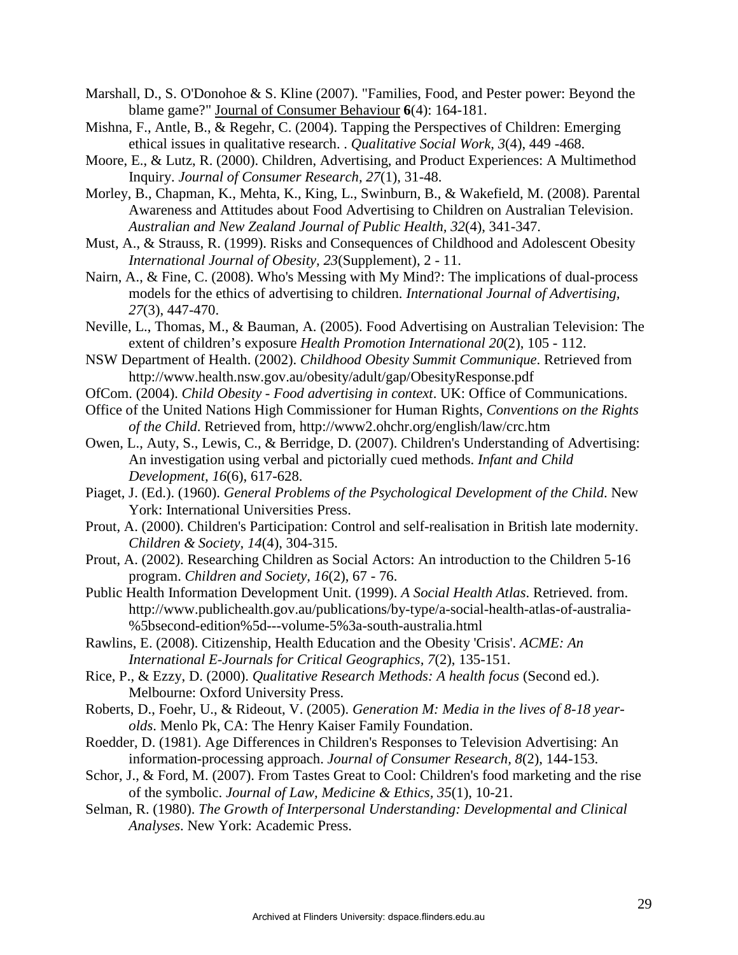- Marshall, D., S. O'Donohoe & S. Kline (2007). "Families, Food, and Pester power: Beyond the blame game?" Journal of Consumer Behaviour **6**(4): 164-181.
- Mishna, F., Antle, B., & Regehr, C. (2004). Tapping the Perspectives of Children: Emerging ethical issues in qualitative research. . *Qualitative Social Work, 3*(4), 449 -468.
- Moore, E., & Lutz, R. (2000). Children, Advertising, and Product Experiences: A Multimethod Inquiry. *Journal of Consumer Research, 27*(1), 31-48.
- Morley, B., Chapman, K., Mehta, K., King, L., Swinburn, B., & Wakefield, M. (2008). Parental Awareness and Attitudes about Food Advertising to Children on Australian Television. *Australian and New Zealand Journal of Public Health, 32*(4), 341-347.
- Must, A., & Strauss, R. (1999). Risks and Consequences of Childhood and Adolescent Obesity *International Journal of Obesity, 23*(Supplement), 2 - 11.
- Nairn, A., & Fine, C. (2008). Who's Messing with My Mind?: The implications of dual-process models for the ethics of advertising to children. *International Journal of Advertising, 27*(3), 447-470.
- Neville, L., Thomas, M., & Bauman, A. (2005). Food Advertising on Australian Television: The extent of children's exposure *Health Promotion International 20*(2), 105 - 112.
- NSW Department of Health. (2002). *Childhood Obesity Summit Communique*. Retrieved from http://www.health.nsw.gov.au/obesity/adult/gap/ObesityResponse.pdf
- OfCom. (2004). *Child Obesity Food advertising in context*. UK: Office of Communications.
- Office of the United Nations High Commissioner for Human Rights, *Conventions on the Rights of the Child*. Retrieved from, http://www2.ohchr.org/english/law/crc.htm
- Owen, L., Auty, S., Lewis, C., & Berridge, D. (2007). Children's Understanding of Advertising: An investigation using verbal and pictorially cued methods. *Infant and Child Development, 16*(6), 617-628.
- Piaget, J. (Ed.). (1960). *General Problems of the Psychological Development of the Child*. New York: International Universities Press.
- Prout, A. (2000). Children's Participation: Control and self-realisation in British late modernity. *Children & Society, 14*(4), 304-315.
- Prout, A. (2002). Researching Children as Social Actors: An introduction to the Children 5-16 program. *Children and Society, 16*(2), 67 - 76.
- Public Health Information Development Unit. (1999). *A Social Health Atlas*. Retrieved. from. http://www.publichealth.gov.au/publications/by-type/a-social-health-atlas-of-australia- %5bsecond-edition%5d---volume-5%3a-south-australia.html
- Rawlins, E. (2008). Citizenship, Health Education and the Obesity 'Crisis'. *ACME: An International E-Journals for Critical Geographics, 7*(2), 135-151.
- Rice, P., & Ezzy, D. (2000). *Qualitative Research Methods: A health focus* (Second ed.). Melbourne: Oxford University Press.
- Roberts, D., Foehr, U., & Rideout, V. (2005). *Generation M: Media in the lives of 8-18 yearolds*. Menlo Pk, CA: The Henry Kaiser Family Foundation.
- Roedder, D. (1981). Age Differences in Children's Responses to Television Advertising: An information-processing approach. *Journal of Consumer Research, 8*(2), 144-153.
- Schor, J., & Ford, M. (2007). From Tastes Great to Cool: Children's food marketing and the rise of the symbolic. *Journal of Law, Medicine & Ethics, 35*(1), 10-21.
- Selman, R. (1980). *The Growth of Interpersonal Understanding: Developmental and Clinical Analyses*. New York: Academic Press.